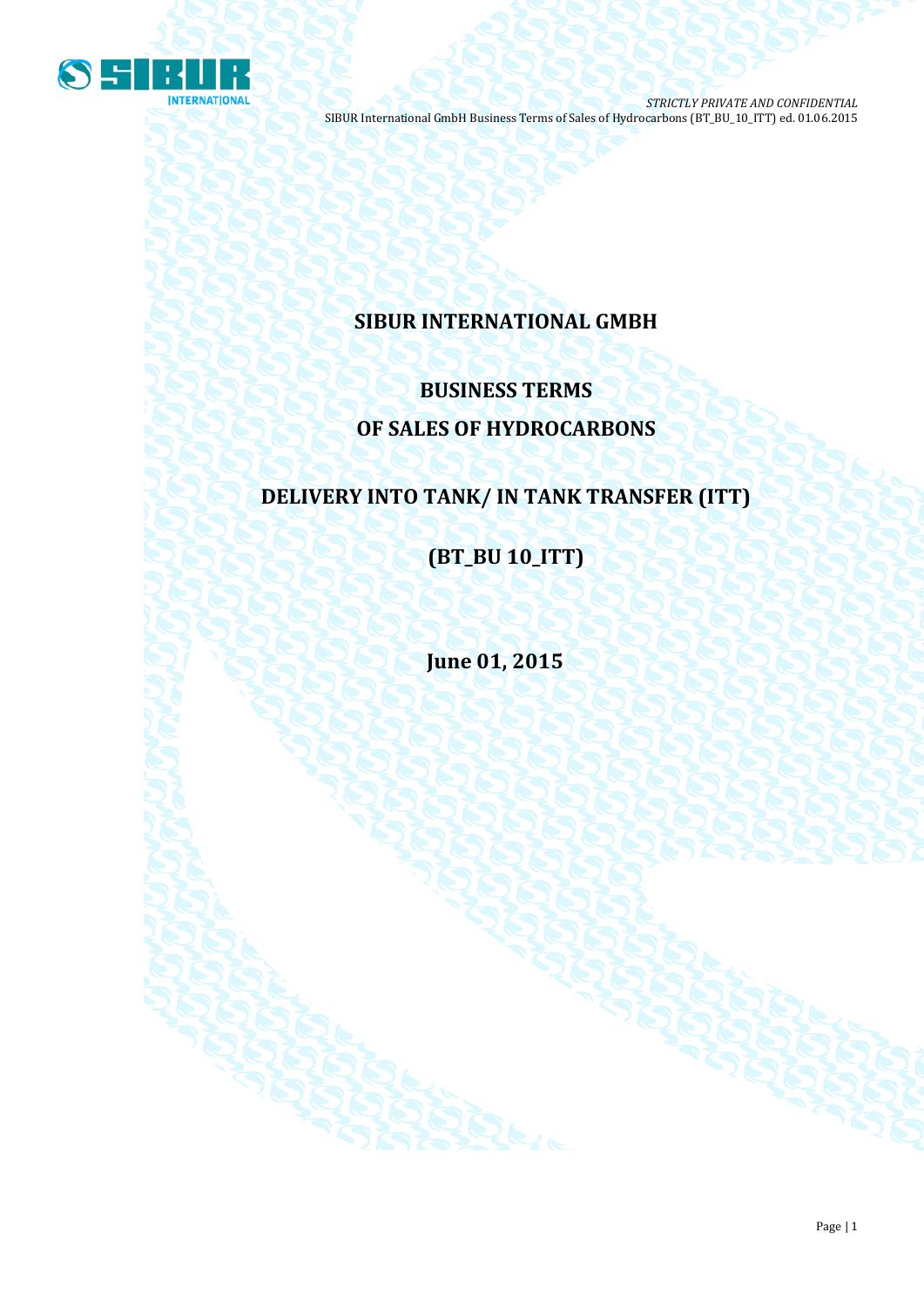

# **SIBUR INTERNATIONAL GMBH**

# **BUSINESS TERMS OF SALES OF HYDROCARBONS**

# **DELIVERY INTO TANK/ IN TANK TRANSFER (ITT)**

**(BT\_BU 10\_ITT)**

**June 01, 2015**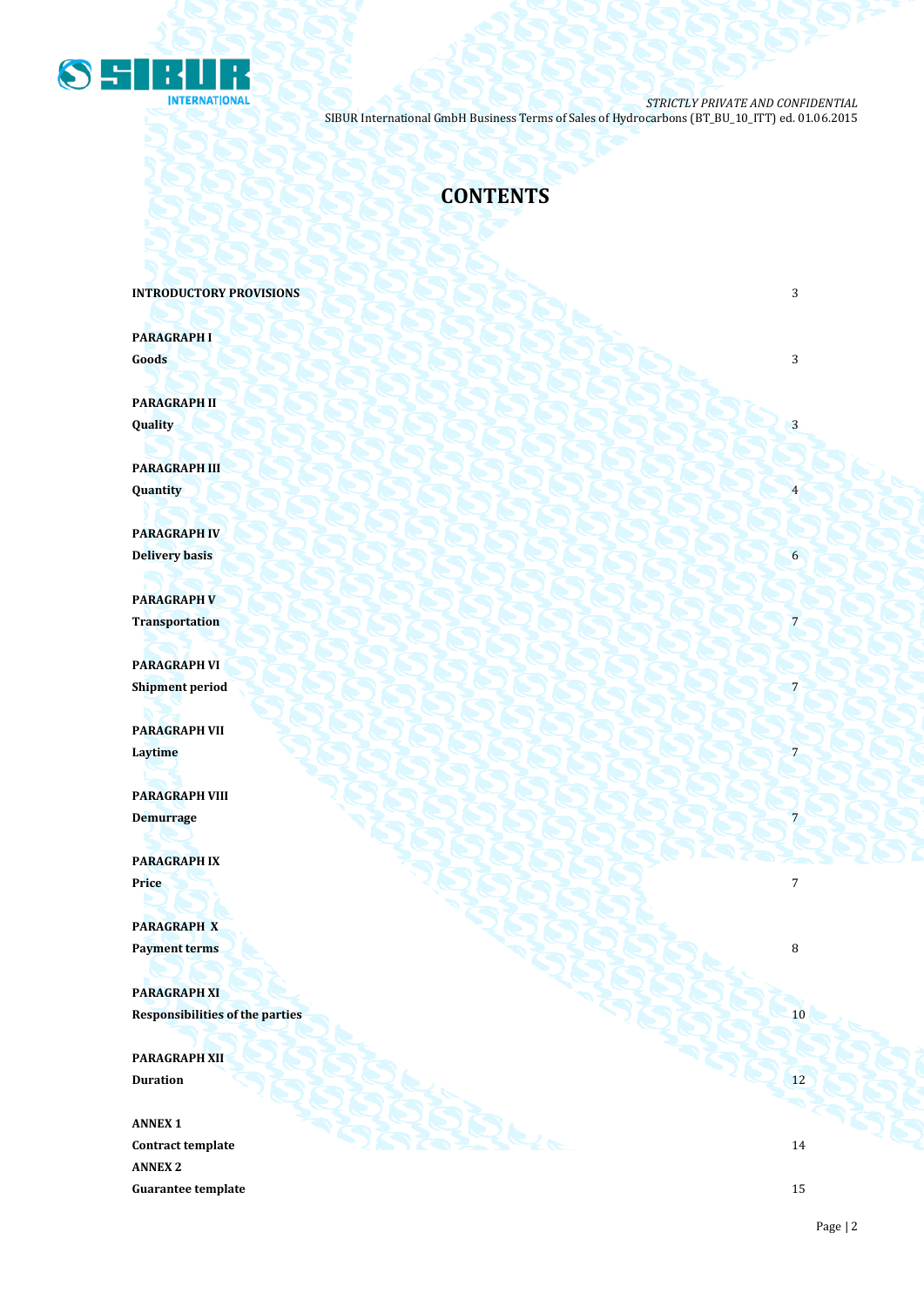

# **CONTENTS**

**INTRODUCTORY PROVISIONS 3** 

**PARAGRAPH I Goods** 3

**PARAGRAPH II**  $\mathbf{Quality}$   $\begin{pmatrix} 1 & 3 \end{pmatrix}$ 

**PARAGRAPH III Quantity** 4

**PARAGRAPH IV Delivery basis** 6

**PARAGRAPH V** Transportation **Produced a Produced A Produced** A Produced A Produced A Produced A Produced A Produced A Produced A Produced A Produced A Produced A Produced A Produced A Produced A Produced A Produced A Produced A Produce

**PARAGRAPH VI Shipment period** 7

**PARAGRAPH VII Laytime** 7 **2008 2008 2008 2008 2008 2008 2008 2008 2008 2008 2008 2008 2008 2008 2008 2008 2008 2008 2008 2008 2008 2008 2008 2008 2008 2008 2008 2008 2008 2008**

**PARAGRAPH VIII Demurrage** 7

**PARAGRAPH IX Price** 7

**PARAGRAPH X Payment terms** 8

**PARAGRAPH XI Responsibilities of the parties** 10

**PARAGRAPH XII Duration** 12

**ANNEX 1 Contract template** 14 **ANNEX 2 Guarantee template** 15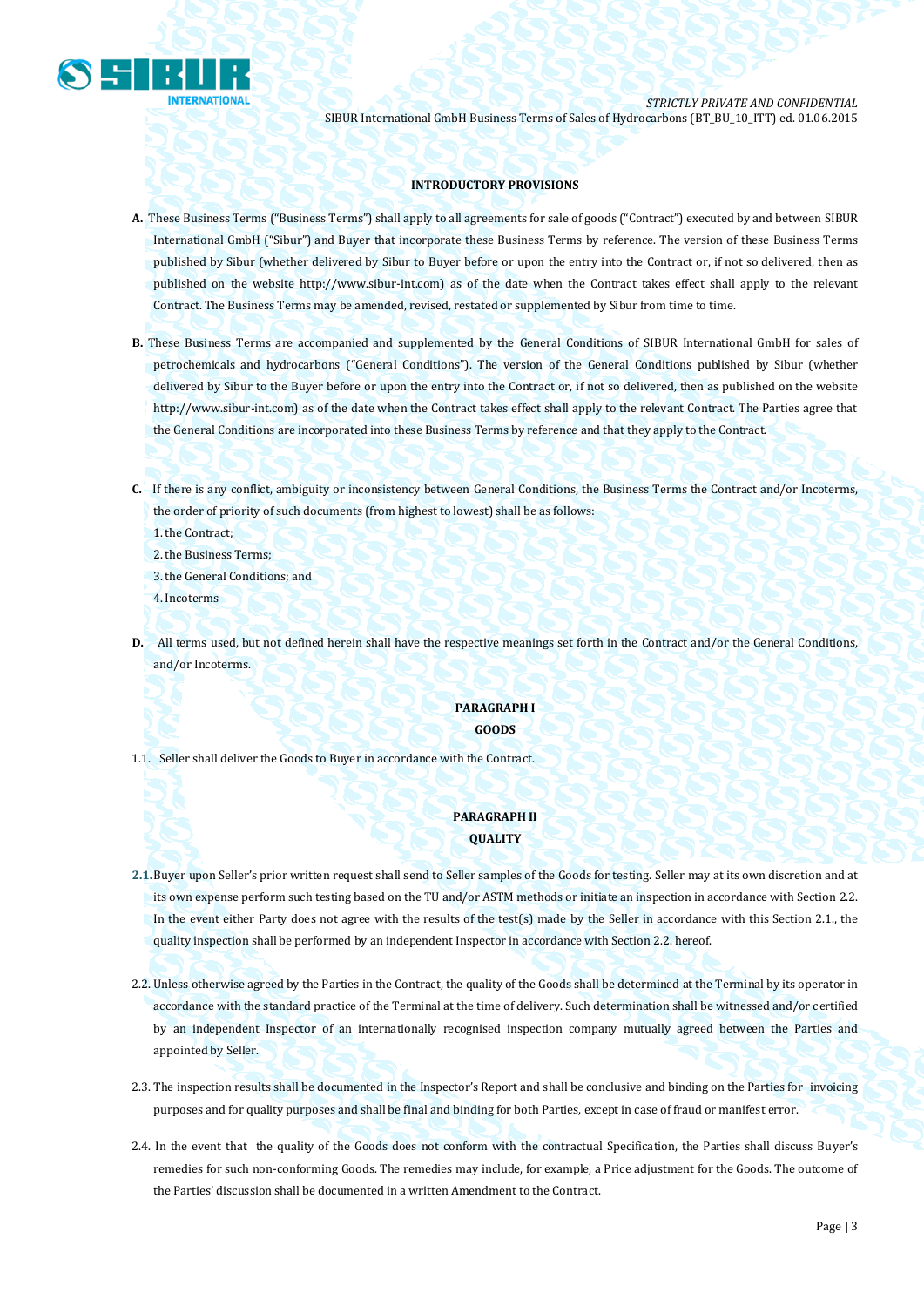

## **INTRODUCTORY PROVISIONS**

- **A.** These Business Terms ("Business Terms") shall apply to all agreements for sale of goods ("Contract") executed by and between SIBUR International GmbH ("Sibur") and Buyer that incorporate these Business Terms by reference. The version of these Business Terms published by Sibur (whether delivered by Sibur to Buyer before or upon the entry into the Contract or, if not so delivered, then as published on the website [http://www.sibur-int.com\)](http://www.sibur-int.com/) as of the date when the Contract takes effect shall apply to the relevant Contract. The Business Terms may be amended, revised, restated or supplemented by Sibur from time to time.
- **B.** These Business Terms are accompanied and supplemented by the General Conditions of SIBUR International GmbH for sales of petrochemicals and hydrocarbons ("General Conditions"). The version of the General Conditions published by Sibur (whether delivered by Sibur to the Buyer before or upon the entry into the Contract or, if not so delivered, then as published on the website [http://www.sibur-int.com\)](http://www.sibur-int.com/) as of the date when the Contract takes effect shall apply to the relevant Contract. The Parties agree that the General Conditions are incorporated into these Business Terms by reference and that they apply to the Contract.
- **C.** If there is any conflict, ambiguity or inconsistency between General Conditions, the Business Terms the Contract and/or Incoterms, the order of priority of such documents (from highest to lowest) shall be as follows:

1.the Contract;

2.the Business Terms;

3.the General Conditions; and

4.Incoterms

**D.** All terms used, but not defined herein shall have the respective meanings set forth in the Contract and/or the General Conditions, and/or Incoterms.

## **PARAGRAPH I GOODS**

1.1. Seller shall deliver the Goods to Buyer in accordance with the Contract.

## **PARAGRAPH II QUALITY**

- **2.1.**Buyer upon Seller's prior written request shall send to Seller samples of the Goods for testing. Seller may at its own discretion and at its own expense perform such testing based on the TU and/or ASTM methods or initiate an inspection in accordance with Section 2.2. In the event either Party does not agree with the results of the test(s) made by the Seller in accordance with this Section 2.1., the quality inspection shall be performed by an independent Inspector in accordance with Section 2.2. hereof.
- 2.2. Unless otherwise agreed by the Parties in the Contract, the quality of the Goods shall be determined at the Terminal by its operator in accordance with the standard practice of the Terminal at the time of delivery. Such determination shall be witnessed and/or certified by an independent Inspector of an internationally recognised inspection company mutually agreed between the Parties and appointed by Seller.
- 2.3. The inspection results shall be documented in the Inspector's Report and shall be conclusive and binding on the Parties for invoicing purposes and for quality purposes and shall be final and binding for both Parties, except in case of fraud or manifest error.
- 2.4. In the event that the quality of the Goods does not conform with the contractual Specification, the Parties shall discuss Buyer's remedies for such non-conforming Goods. The remedies may include, for example, a Price adjustment for the Goods. The outcome of the Parties' discussion shall be documented in a written Amendment to the Contract.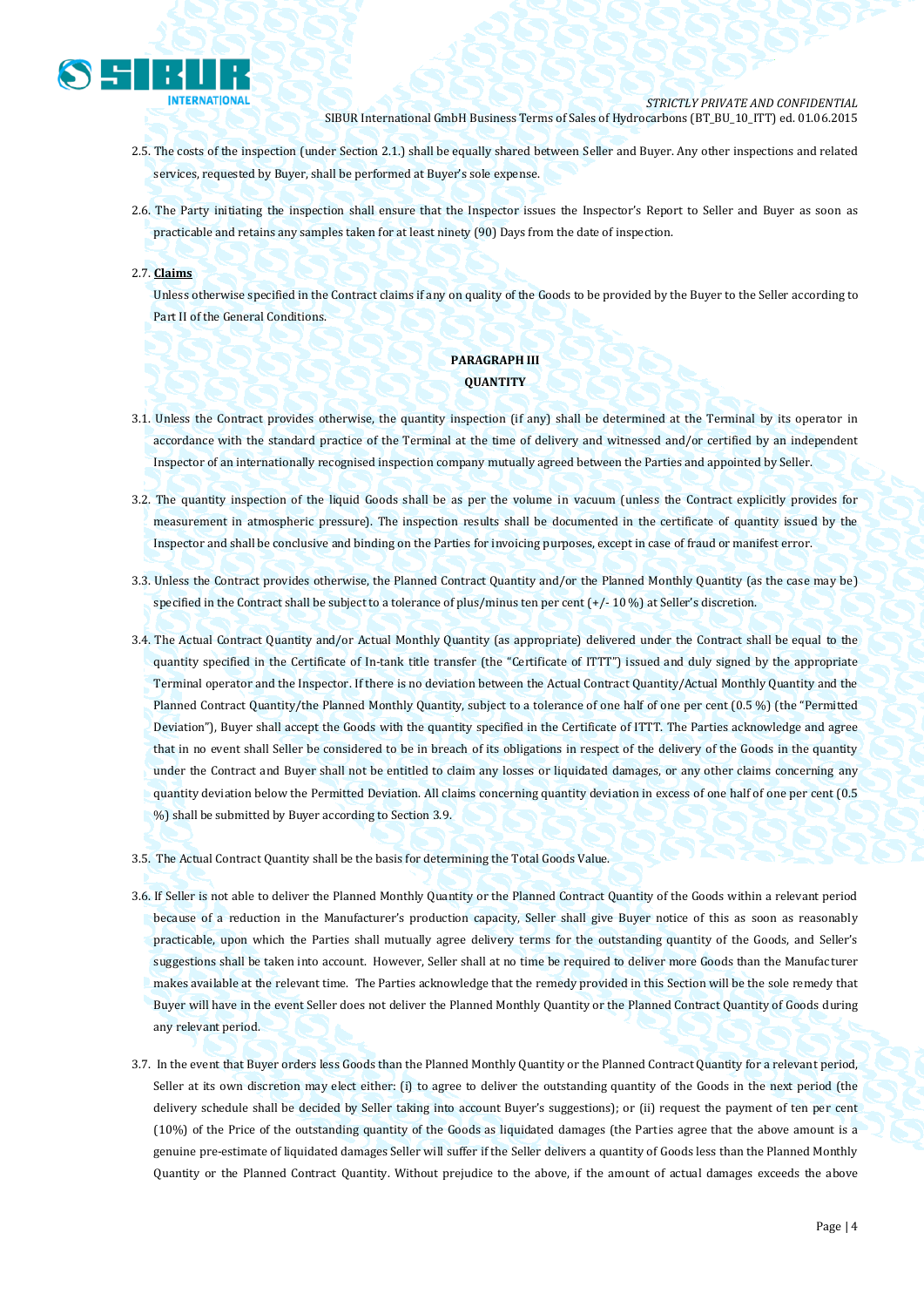

- 2.5. The costs of the inspection (under Section 2.1.) shall be equally shared between Seller and Buyer. Any other inspections and related services, requested by Buyer, shall be performed at Buyer's sole expense.
- 2.6. The Party initiating the inspection shall ensure that the Inspector issues the Inspector's Report to Seller and Buyer as soon as practicable and retains any samples taken for at least ninety (90) Days from the date of inspection.
- 2.7. **Claims**

Unless otherwise specified in the Contract claims if any on quality of the Goods to be provided by the Buyer to the Seller according to Part II of the General Conditions.

# **PARAGRAPH III QUANTITY**

- 3.1. Unless the Contract provides otherwise, the quantity inspection (if any) shall be determined at the Terminal by its operator in accordance with the standard practice of the Terminal at the time of delivery and witnessed and/or certified by an independent Inspector of an internationally recognised inspection company mutually agreed between the Parties and appointed by Seller.
- 3.2. The quantity inspection of the liquid Goods shall be as per the volume in vacuum (unless the Contract explicitly provides for measurement in atmospheric pressure). The inspection results shall be documented in the certificate of quantity issued by the Inspector and shall be conclusive and binding on the Parties for invoicing purposes, except in case of fraud or manifest error.
- 3.3. Unless the Contract provides otherwise, the Planned Contract Quantity and/or the Planned Monthly Quantity (as the case may be) specified in the Contract shall be subject to a tolerance of plus/minus ten per cent (+/- 10 %) at Seller's discretion.
- 3.4. The Actual Contract Quantity and/or Actual Monthly Quantity (as appropriate) delivered under the Contract shall be equal to the quantity specified in the Certificate of In-tank title transfer (the "Certificate of ITTT") issued and duly signed by the appropriate Terminal operator and the Inspector. If there is no deviation between the Actual Contract Quantity/Actual Monthly Quantity and the Planned Contract Quantity/the Planned Monthly Quantity, subject to a tolerance of one half of one per cent (0.5 %) (the "Permitted Deviation"), Buyer shall accept the Goods with the quantity specified in the Certificate of ITTT. The Parties acknowledge and agree that in no event shall Seller be considered to be in breach of its obligations in respect of the delivery of the Goods in the quantity under the Contract and Buyer shall not be entitled to claim any losses or liquidated damages, or any other claims concerning any quantity deviation below the Permitted Deviation. All claims concerning quantity deviation in excess of one half of one per cent (0.5 %) shall be submitted by Buyer according to Section 3.9.
- 3.5. The Actual Contract Quantity shall be the basis for determining the Total Goods Value.
- 3.6. If Seller is not able to deliver the Planned Monthly Quantity or the Planned Contract Quantity of the Goods within a relevant period because of a reduction in the Manufacturer's production capacity, Seller shall give Buyer notice of this as soon as reasonably practicable, upon which the Parties shall mutually agree delivery terms for the outstanding quantity of the Goods, and Seller's suggestions shall be taken into account. However, Seller shall at no time be required to deliver more Goods than the Manufacturer makes available at the relevant time. The Parties acknowledge that the remedy provided in this Section will be the sole remedy that Buyer will have in the event Seller does not deliver the Planned Monthly Quantity or the Planned Contract Quantity of Goods during any relevant period.
- 3.7. In the event that Buyer orders less Goods than the Planned Monthly Quantity or the Planned Contract Quantity for a relevant period, Seller at its own discretion may elect either: (i) to agree to deliver the outstanding quantity of the Goods in the next period (the delivery schedule shall be decided by Seller taking into account Buyer's suggestions); or (ii) request the payment of ten per cent (10%) of the Price of the outstanding quantity of the Goods as liquidated damages (the Parties agree that the above amount is a genuine pre-estimate of liquidated damages Seller will suffer if the Seller delivers a quantity of Goods less than the Planned Monthly Quantity or the Planned Contract Quantity. Without prejudice to the above, if the amount of actual damages exceeds the above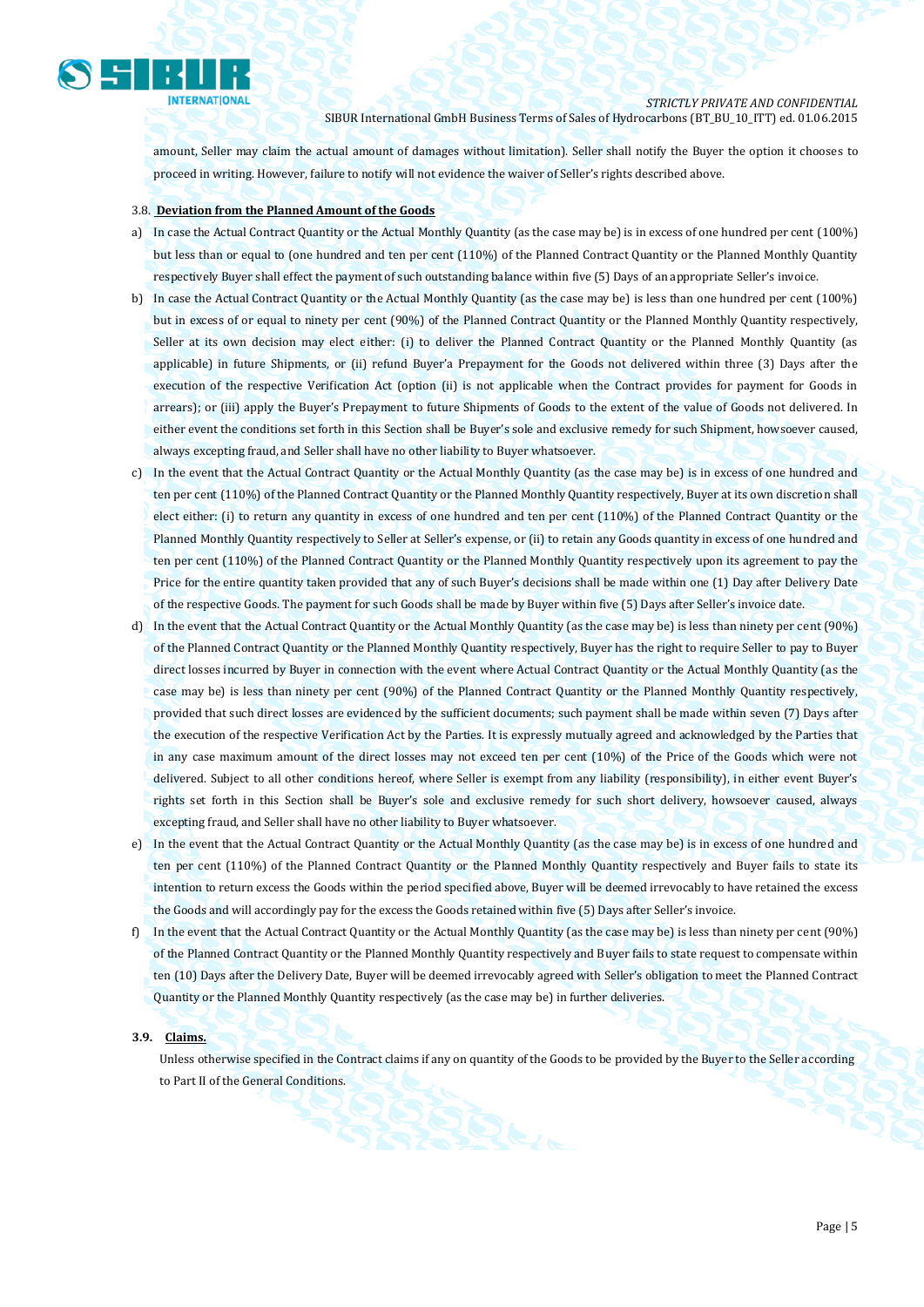

amount, Seller may claim the actual amount of damages without limitation). Seller shall notify the Buyer the option it chooses to proceed in writing. However, failure to notify will not evidence the waiver of Seller's rights described above.

### 3.8. **Deviation from the Planned Amount of the Goods**

- a) In case the Actual Contract Quantity or the Actual Monthly Quantity (as the case may be) is in excess of one hundred per cent (100%) but less than or equal to (one hundred and ten per cent (110%) of the Planned Contract Quantity or the Planned Monthly Quantity respectively Buyer shall effect the payment of such outstanding balance within five (5) Days of an appropriate Seller's invoice.
- b) In case the Actual Contract Quantity or the Actual Monthly Quantity (as the case may be) is less than one hundred per cent (100%) but in excess of or equal to ninety per cent (90%) of the Planned Contract Quantity or the Planned Monthly Quantity respectively, Seller at its own decision may elect either: (i) to deliver the Planned Contract Quantity or the Planned Monthly Quantity (as applicable) in future Shipments, or (ii) refund Buyer'a Prepayment for the Goods not delivered within three (3) Days after the execution of the respective Verification Act (option (ii) is not applicable when the Contract provides for payment for Goods in arrears); or (iii) apply the Buyer's Prepayment to future Shipments of Goods to the extent of the value of Goods not delivered. In either event the conditions set forth in this Section shall be Buyer's sole and exclusive remedy for such Shipment, howsoever caused, always excepting fraud, and Seller shall have no other liability to Buyer whatsoever.
- c) In the event that the Actual Contract Quantity or the Actual Monthly Quantity (as the case may be) is in excess of one hundred and ten per cent (110%) of the Planned Contract Quantity or the Planned Monthly Quantity respectively, Buyer at its own discretion shall elect either: (i) to return any quantity in excess of one hundred and ten per cent (110%) of the Planned Contract Quantity or the Planned Monthly Quantity respectively to Seller at Seller's expense, or (ii) to retain any Goods quantity in excess of one hundred and ten per cent (110%) of the Planned Contract Quantity or the Planned Monthly Quantity respectively upon its agreement to pay the Price for the entire quantity taken provided that any of such Buyer's decisions shall be made within one (1) Day after Delivery Date of the respective Goods. The payment for such Goods shall be made by Buyer within five (5) Days after Seller's invoice date.
- d) In the event that the Actual Contract Quantity or the Actual Monthly Quantity (as the case may be) is less than ninety per cent (90%) of the Planned Contract Quantity or the Planned Monthly Quantity respectively, Buyer has the right to require Seller to pay to Buyer direct losses incurred by Buyer in connection with the event where Actual Contract Quantity or the Actual Monthly Quantity (as the case may be) is less than ninety per cent (90%) of the Planned Contract Quantity or the Planned Monthly Quantity respectively, provided that such direct losses are evidenced by the sufficient documents; such payment shall be made within seven (7) Days after the execution of the respective Verification Act by the Parties. It is expressly mutually agreed and acknowledged by the Parties that in any case maximum amount of the direct losses may not exceed ten per cent (10%) of the Price of the Goods which were not delivered. Subject to all other conditions hereof, where Seller is exempt from any liability (responsibility), in either event Buyer's rights set forth in this Section shall be Buyer's sole and exclusive remedy for such short delivery, howsoever caused, always excepting fraud, and Seller shall have no other liability to Buyer whatsoever.
- e) In the event that the Actual Contract Quantity or the Actual Monthly Quantity (as the case may be) is in excess of one hundred and ten per cent (110%) of the Planned Contract Quantity or the Planned Monthly Quantity respectively and Buyer fails to state its intention to return excess the Goods within the period specified above, Buyer will be deemed irrevocably to have retained the excess the Goods and will accordingly pay for the excess the Goods retained within five (5) Days after Seller's invoice.
- f) In the event that the Actual Contract Quantity or the Actual Monthly Quantity (as the case may be) is less than ninety per cent (90%) of the Planned Contract Quantity or the Planned Monthly Quantity respectively and Buyer fails to state request to compensate within ten (10) Days after the Delivery Date, Buyer will be deemed irrevocably agreed with Seller's obligation to meet the Planned Contract Quantity or the Planned Monthly Quantity respectively (as the case may be) in further deliveries.

## **3.9. Claims.**

Unless otherwise specified in the Contract claims if any on quantity of the Goods to be provided by the Buyer to the Seller according to Part II of the General Conditions.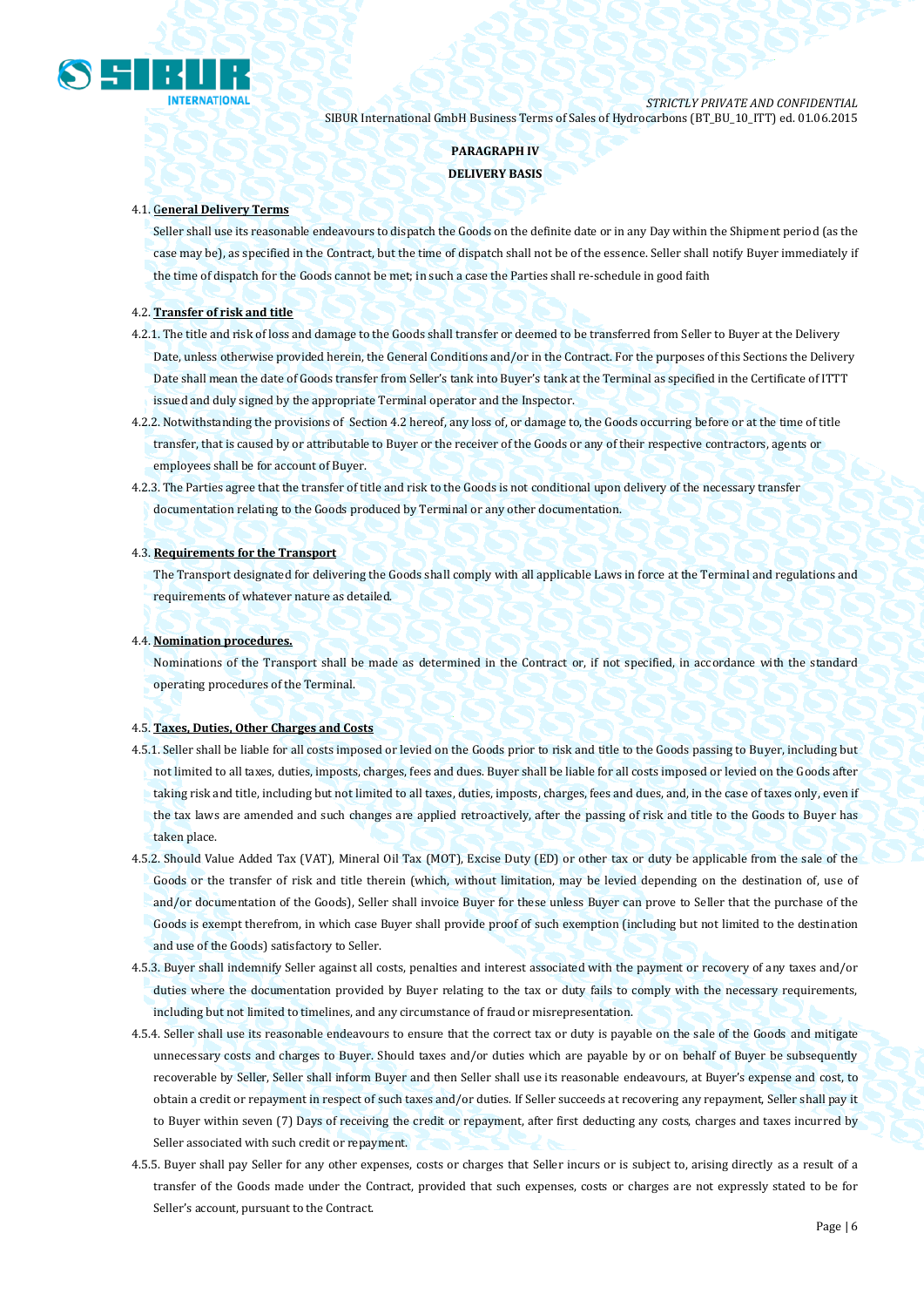

# **PARAGRAPH IV DELIVERY BASIS**

### 4.1. G**eneral Delivery Terms**

Seller shall use its reasonable endeavours to dispatch the Goods on the definite date or in any Day within the Shipment period (as the case may be), as specified in the Contract, but the time of dispatch shall not be of the essence. Seller shall notify Buyer immediately if the time of dispatch for the Goods cannot be met; in such a case the Parties shall re-schedule in good faith

## 4.2. **Transfer of risk and title**

- 4.2.1. The title and risk of loss and damage to the Goods shall transfer or deemed to be transferred from Seller to Buyer at the Delivery Date, unless otherwise provided herein, the General Conditions and/or in the Contract. For the purposes of this Sections the Delivery Date shall mean the date of Goods transfer from Seller's tank into Buyer's tank at the Terminal as specified in the Certificate of ITTT issued and duly signed by the appropriate Terminal operator and the Inspector.
- 4.2.2. Notwithstanding the provisions of Section 4.2 hereof, any loss of, or damage to, the Goods occurring before or at the time of title transfer, that is caused by or attributable to Buyer or the receiver of the Goods or any of their respective contractors, agents or employees shall be for account of Buyer.
- 4.2.3. The Parties agree that the transfer of title and risk to the Goods is not conditional upon delivery of the necessary transfer documentation relating to the Goods produced by Terminal or any other documentation.

#### 4.3. **Requirements for the Transport**

The Transport designated for delivering the Goods shall comply with all applicable Laws in force at the Terminal and regulations and requirements of whatever nature as detailed.

#### 4.4. **Nomination procedures.**

Nominations of the Transport shall be made as determined in the Contract or, if not specified, in accordance with the standard operating procedures of the Terminal.

#### 4.5. **Taxes, Duties, Other Charges and Costs**

- 4.5.1. Seller shall be liable for all costs imposed or levied on the Goods prior to risk and title to the Goods passing to Buyer, including but not limited to all taxes, duties, imposts, charges, fees and dues. Buyer shall be liable for all costs imposed or levied on the Goods after taking risk and title, including but not limited to all taxes, duties, imposts, charges, fees and dues, and, in the case of taxes only, even if the tax laws are amended and such changes are applied retroactively, after the passing of risk and title to the Goods to Buyer has taken place.
- 4.5.2. Should Value Added Tax (VAT), Mineral Oil Tax (MOT), Excise Duty (ED) or other tax or duty be applicable from the sale of the Goods or the transfer of risk and title therein (which, without limitation, may be levied depending on the destination of, use of and/or documentation of the Goods), Seller shall invoice Buyer for these unless Buyer can prove to Seller that the purchase of the Goods is exempt therefrom, in which case Buyer shall provide proof of such exemption (including but not limited to the destination and use of the Goods) satisfactory to Seller.
- 4.5.3. Buyer shall indemnify Seller against all costs, penalties and interest associated with the payment or recovery of any taxes and/or duties where the documentation provided by Buyer relating to the tax or duty fails to comply with the necessary requirements, including but not limited to timelines, and any circumstance of fraud or misrepresentation.
- 4.5.4. Seller shall use its reasonable endeavours to ensure that the correct tax or duty is payable on the sale of the Goods and mitigate unnecessary costs and charges to Buyer. Should taxes and/or duties which are payable by or on behalf of Buyer be subsequently recoverable by Seller, Seller shall inform Buyer and then Seller shall use its reasonable endeavours, at Buyer's expense and cost, to obtain a credit or repayment in respect of such taxes and/or duties. If Seller succeeds at recovering any repayment, Seller shall pay it to Buyer within seven (7) Days of receiving the credit or repayment, after first deducting any costs, charges and taxes incurred by Seller associated with such credit or repayment.
- 4.5.5. Buyer shall pay Seller for any other expenses, costs or charges that Seller incurs or is subject to, arising directly as a result of a transfer of the Goods made under the Contract, provided that such expenses, costs or charges are not expressly stated to be for Seller's account, pursuant to the Contract.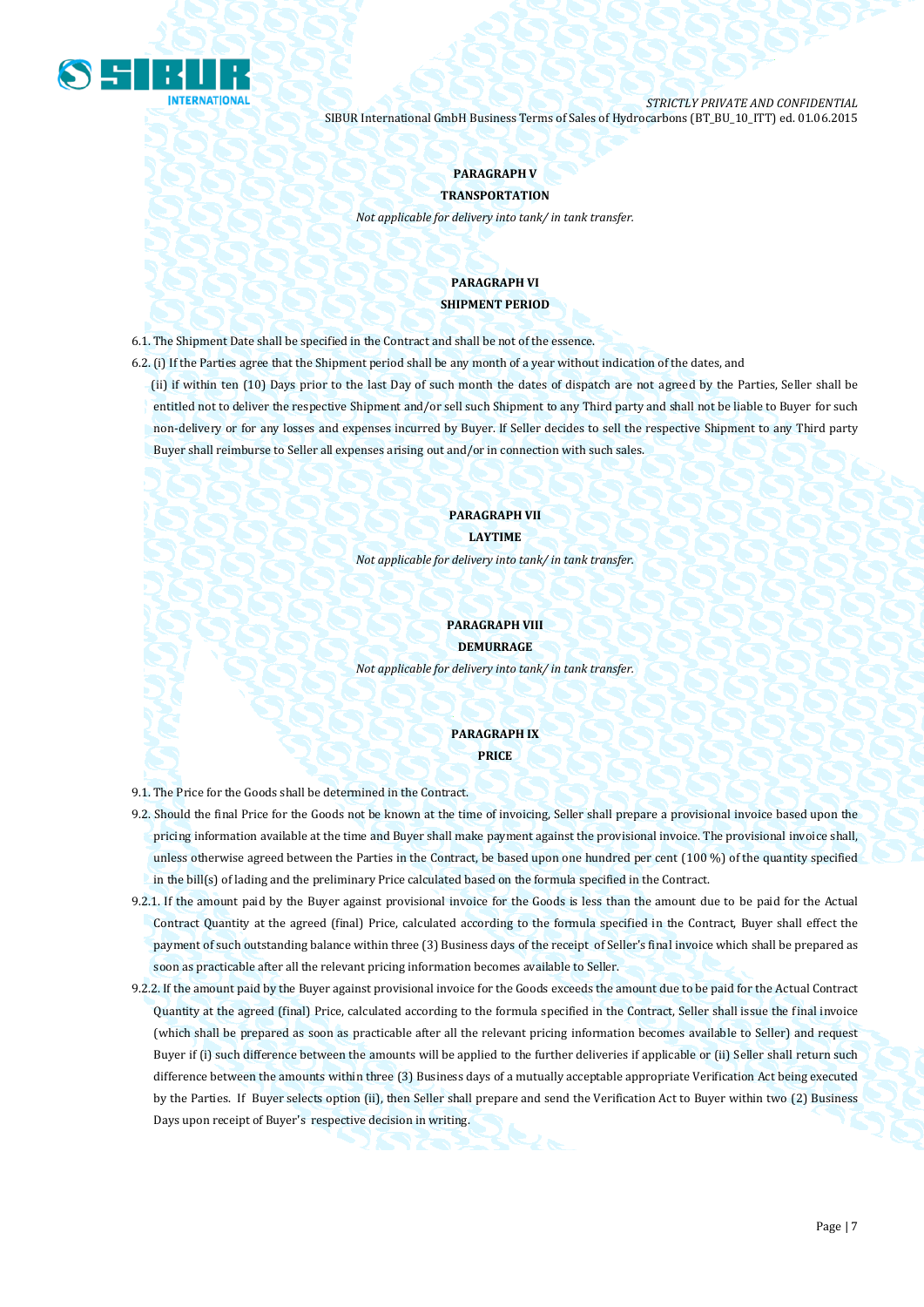

# **PARAGRAPH V**

**TRANSPORTATION**

*Not applicable for delivery into tank/ in tank transfer.*

# **PARAGRAPH VI SHIPMENT PERIOD**

6.1. The Shipment Date shall be specified in the Contract and shall be not of the essence.

6.2. (i) If the Parties agree that the Shipment period shall be any month of a year without indication of the dates, and (ii) if within ten (10) Days prior to the last Day of such month the dates of dispatch are not agreed by the Parties, Seller shall be entitled not to deliver the respective Shipment and/or sell such Shipment to any Third party and shall not be liable to Buyer for such non-delivery or for any losses and expenses incurred by Buyer. If Seller decides to sell the respective Shipment to any Third party Buyer shall reimburse to Seller all expenses arising out and/or in connection with such sales.

## **PARAGRAPH VII LAYTIME**

*Not applicable for delivery into tank/ in tank transfer.*

# **PARAGRAPH VIII DEMURRAGE**

*Not applicable for delivery into tank/ in tank transfer.*

## **PARAGRAPH IX PRICE**

9.1. The Price for the Goods shall be determined in the Contract.

- 9.2. Should the final Price for the Goods not be known at the time of invoicing, Seller shall prepare a provisional invoice based upon the pricing information available at the time and Buyer shall make payment against the provisional invoice. The provisional invoice shall, unless otherwise agreed between the Parties in the Contract, be based upon one hundred per cent (100 %) of the quantity specified in the bill(s) of lading and the preliminary Price calculated based on the formula specified in the Contract.
- 9.2.1. If the amount paid by the Buyer against provisional invoice for the Goods is less than the amount due to be paid for the Actual Contract Quantity at the agreed (final) Price, calculated according to the formula specified in the Contract, Buyer shall effect the payment of such outstanding balance within three (3) Business days of the receipt of Seller's final invoice which shall be prepared as soon as practicable after all the relevant pricing information becomes available to Seller.
- 9.2.2. If the amount paid by the Buyer against provisional invoice for the Goods exceeds the amount due to be paid for the Actual Contract Quantity at the agreed (final) Price, calculated according to the formula specified in the Contract, Seller shall issue the final invoice (which shall be prepared as soon as practicable after all the relevant pricing information becomes available to Seller) and request Buyer if (i) such difference between the amounts will be applied to the further deliveries if applicable or (ii) Seller shall return such difference between the amounts within three (3) Business days of a mutually acceptable appropriate Verification Act being executed by the Parties. If Buyer selects option (ii), then Seller shall prepare and send the Verification Act to Buyer within two (2) Business Days upon receipt of Buyer's respective decision in writing.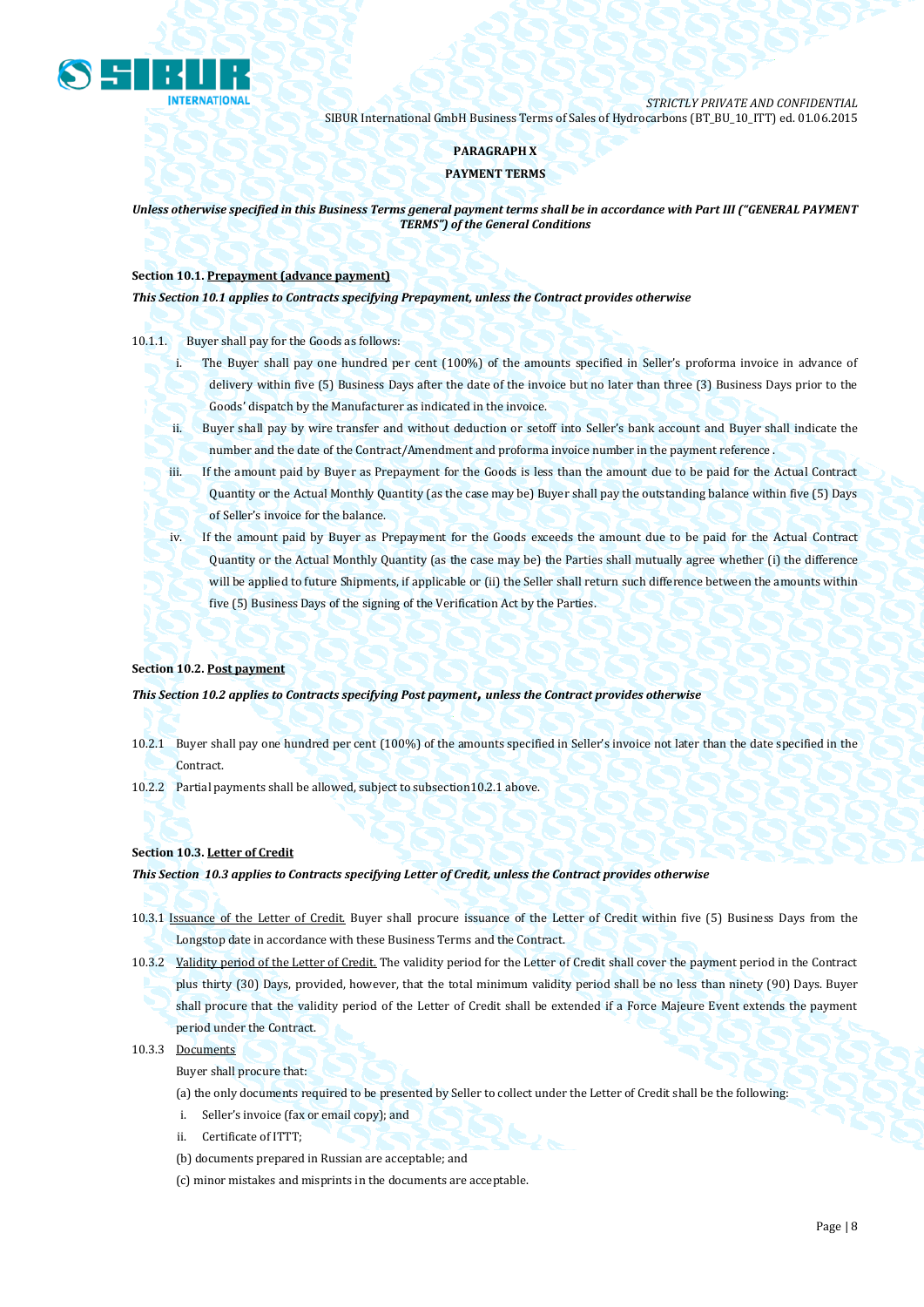

## **PARAGRAPH X**

## **PAYMENT TERMS**

*Unless otherwise specified in this Business Terms general payment terms shall be in accordance with Part III ("GENERAL PAYMENT TERMS") of the General Conditions*

## **Section 10.1. Prepayment (advance payment)**

*This Section 10.1 applies to Contracts specifying Prepayment, unless the Contract provides otherwise*

## 10.1.1. Buyer shall pay for the Goods as follows:

- i. The Buyer shall pay one hundred per cent (100%) of the amounts specified in Seller's proforma invoice in advance of delivery within five (5) Business Days after the date of the invoice but no later than three (3) Business Days prior to the Goods' dispatch by the Manufacturer as indicated in the invoice.
- ii. Buyer shall pay by wire transfer and without deduction or setoff into Seller's bank account and Buyer shall indicate the number and the date of the Contract/Amendment and proforma invoice number in the payment reference .
- iii. If the amount paid by Buyer as Prepayment for the Goods is less than the amount due to be paid for the Actual Contract Quantity or the Actual Monthly Quantity (as the case may be) Buyer shall pay the outstanding balance within five (5) Days of Seller's invoice for the balance.
- iv. If the amount paid by Buyer as Prepayment for the Goods exceeds the amount due to be paid for the Actual Contract Quantity or the Actual Monthly Quantity (as the case may be) the Parties shall mutually agree whether (i) the difference will be applied to future Shipments, if applicable or (ii) the Seller shall return such difference between the amounts within five (5) Business Days of the signing of the Verification Act by the Parties.

## **Section 10.2. Post payment**

*This Section 10.2 applies to Contracts specifying Post payment***,** *unless the Contract provides otherwise*

- 10.2.1 Buyer shall pay one hundred per cent (100%) of the amounts specified in Seller's invoice not later than the date specified in the Contract.
- 10.2.2 Partial payments shall be allowed, subject to subsection10.2.1 above.

## **Section 10.3. Letter of Credit**

## *This Section 10.3 applies to Contracts specifying Letter of Credit, unless the Contract provides otherwise*

- 10.3.1 Issuance of the Letter of Credit. Buyer shall procure issuance of the Letter of Credit within five (5) Business Days from the Longstop date in accordance with these Business Terms and the Contract.
- 10.3.2 Validity period of the Letter of Credit. The validity period for the Letter of Credit shall cover the payment period in the Contract plus thirty (30) Days, provided, however, that the total minimum validity period shall be no less than ninety (90) Days. Buyer shall procure that the validity period of the Letter of Credit shall be extended if a Force Majeure Event extends the payment period under the Contract.

## 10.3.3 Documents

Buyer shall procure that:

(a) the only documents required to be presented by Seller to collect under the Letter of Credit shall be the following:

- i. Seller's invoice (fax or email copy); and
- ii. Certificate of ITTT;
- (b) documents prepared in Russian are acceptable; and
- (c) minor mistakes and misprints in the documents are acceptable.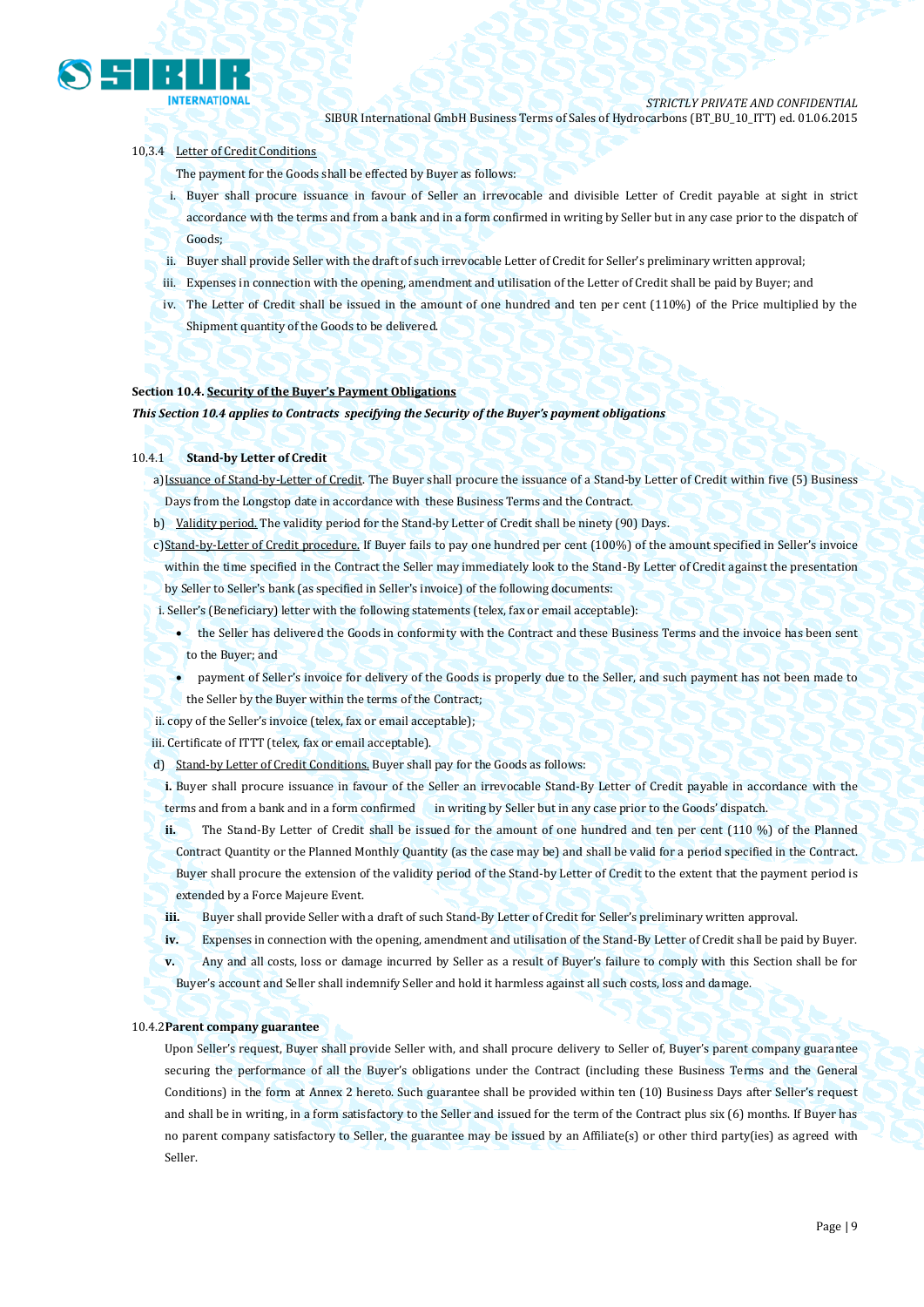

## 10,3.4 Letter of Credit Conditions

The payment for the Goods shall be effected by Buyer as follows:

- i. Buyer shall procure issuance in favour of Seller an irrevocable and divisible Letter of Credit payable at sight in strict accordance with the terms and from a bank and in a form confirmed in writing by Seller but in any case prior to the dispatch of Goods;
- ii. Buyer shall provide Seller with the draft of such irrevocable Letter of Credit for Seller's preliminary written approval;
- iii. Expenses in connection with the opening, amendment and utilisation of the Letter of Credit shall be paid by Buyer; and
- iv. The Letter of Credit shall be issued in the amount of one hundred and ten per cent (110%) of the Price multiplied by the Shipment quantity of the Goods to be delivered.

### **Section 10.4. Security of the Buyer's Payment Obligations**

*This Section 10.4 applies to Contracts specifying the Security of the Buyer's payment obligations*

### 10.4.1 **Stand-by Letter of Credit**

a)Issuance of Stand-by-Letter of Credit. The Buyer shall procure the issuance of a Stand-by Letter of Credit within five (5) Business Days from the Longstop date in accordance with these Business Terms and the Contract.

- b) Validity period. The validity period for the Stand-by Letter of Credit shall be ninety (90) Days.
- c)Stand-by-Letter of Credit procedure. If Buyer fails to pay one hundred per cent (100%) of the amount specified in Seller's invoice within the time specified in the Contract the Seller may immediately look to the Stand-By Letter of Credit against the presentation by Seller to Seller's bank (as specified in Seller's invoice) of the following documents:
- i. Seller's (Beneficiary) letter with the following statements (telex, fax or email acceptable):
	- the Seller has delivered the Goods in conformity with the Contract and these Business Terms and the invoice has been sent to the Buyer; and
		- payment of Seller's invoice for delivery of the Goods is properly due to the Seller, and such payment has not been made to the Seller by the Buyer within the terms of the Contract;

ii. copy of the Seller's invoice (telex, fax or email acceptable);

iii. Certificate of ITTT (telex, fax or email acceptable).

d) Stand-by Letter of Credit Conditions. Buyer shall pay for the Goods as follows:

**i.** Buyer shall procure issuance in favour of the Seller an irrevocable Stand-By Letter of Credit payable in accordance with the terms and from a bank and in a form confirmed in writing by Seller but in any case prior to the Goods' dispatch.

**ii.** The Stand-By Letter of Credit shall be issued for the amount of one hundred and ten per cent (110 %) of the Planned Contract Quantity or the Planned Monthly Quantity (as the case may be) and shall be valid for a period specified in the Contract. Buyer shall procure the extension of the validity period of the Stand-by Letter of Credit to the extent that the payment period is extended by a Force Majeure Event.

**iii.** Buyer shall provide Seller with a draft of such Stand-By Letter of Credit for Seller's preliminary written approval.

**iv.** Expenses in connection with the opening, amendment and utilisation of the Stand-By Letter of Credit shall be paid by Buyer.

**v.** Any and all costs, loss or damage incurred by Seller as a result of Buyer's failure to comply with this Section shall be for Buyer's account and Seller shall indemnify Seller and hold it harmless against all such costs, loss and damage.

#### 10.4.2**Parent company guarantee**

Upon Seller's request, Buyer shall provide Seller with, and shall procure delivery to Seller of, Buyer's parent company guarantee securing the performance of all the Buyer's obligations under the Contract (including these Business Terms and the General Conditions) in the form at Annex 2 hereto. Such guarantee shall be provided within ten (10) Business Days after Seller's request and shall be in writing, in a form satisfactory to the Seller and issued for the term of the Contract plus six (6) months. If Buyer has no parent company satisfactory to Seller, the guarantee may be issued by an Affiliate(s) or other third party(ies) as agreed with Seller.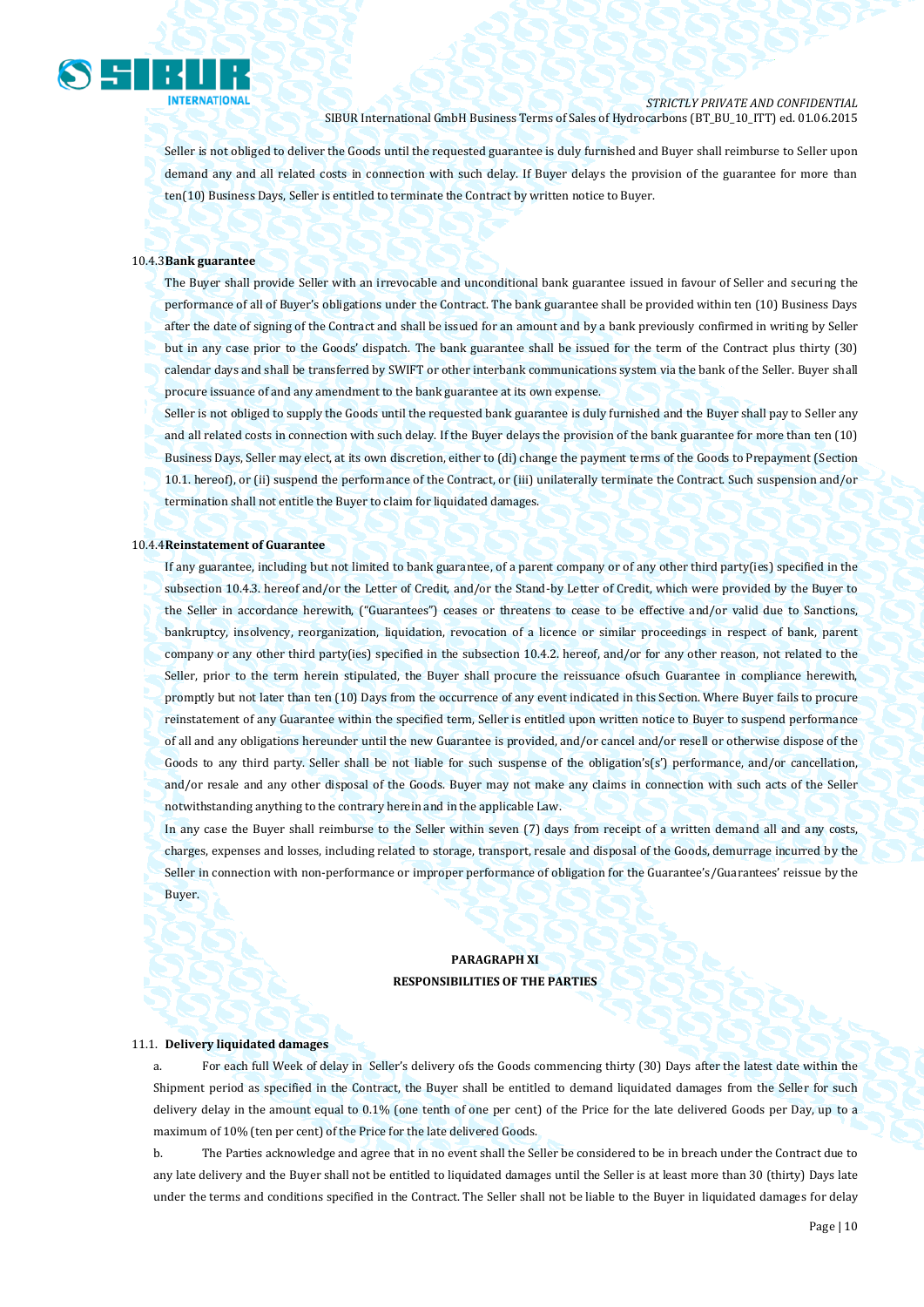

Seller is not obliged to deliver the Goods until the requested guarantee is duly furnished and Buyer shall reimburse to Seller upon demand any and all related costs in connection with such delay. If Buyer delays the provision of the guarantee for more than ten(10) Business Days, Seller is entitled to terminate the Contract by written notice to Buyer.

## 10.4.3**Bank guarantee**

The Buyer shall provide Seller with an irrevocable and unconditional bank guarantee issued in favour of Seller and securing the performance of all of Buyer's obligations under the Contract. The bank guarantee shall be provided within ten (10) Business Days after the date of signing of the Contract and shall be issued for an amount and by a bank previously confirmed in writing by Seller but in any case prior to the Goods' dispatch. The bank guarantee shall be issued for the term of the Contract plus thirty (30) calendar days and shall be transferred by SWIFT or other interbank communications system via the bank of the Seller. Buyer shall procure issuance of and any amendment to the bank guarantee at its own expense.

Seller is not obliged to supply the Goods until the requested bank guarantee is duly furnished and the Buyer shall pay to Seller any and all related costs in connection with such delay. If the Buyer delays the provision of the bank guarantee for more than ten (10) Business Days, Seller may elect, at its own discretion, either to (di) change the payment terms of the Goods to Prepayment (Section 10.1. hereof), or (ii) suspend the performance of the Contract, or (iii) unilaterally terminate the Contract. Such suspension and/or termination shall not entitle the Buyer to claim for liquidated damages.

#### 10.4.4**Reinstatement of Guarantee**

If any guarantee, including but not limited to bank guarantee, of a parent company or of any other third party(ies) specified in the subsection 10.4.3. hereof and/or the Letter of Credit, and/or the Stand-by Letter of Credit, which were provided by the Buyer to the Seller in accordance herewith, ("Guarantees") ceases or threatens to cease to be effective and/or valid due to Sanctions, bankruptcy, insolvency, reorganization, liquidation, revocation of a licence or similar proceedings in respect of bank, parent company or any other third party(ies) specified in the subsection 10.4.2. hereof, and/or for any other reason, not related to the Seller, prior to the term herein stipulated, the Buyer shall procure the reissuance ofsuch Guarantee in compliance herewith, promptly but not later than ten (10) Days from the occurrence of any event indicated in this Section. Where Buyer fails to procure reinstatement of any Guarantee within the specified term, Seller is entitled upon written notice to Buyer to suspend performance of all and any obligations hereunder until the new Guarantee is provided, and/or cancel and/or resell or otherwise dispose of the Goods to any third party. Seller shall be not liable for such suspense of the obligation's(s') performance, and/or cancellation, and/or resale and any other disposal of the Goods. Buyer may not make any claims in connection with such acts of the Seller notwithstanding anything to the contrary herein and in the applicable Law.

In any case the Buyer shall reimburse to the Seller within seven (7) days from receipt of a written demand all and any costs, charges, expenses and losses, including related to storage, transport, resale and disposal of the Goods, demurrage incurred by the Seller in connection with non-performance or improper performance of obligation for the Guarantee's/Guarantees' reissue by the Buyer.

## **PARAGRAPH XI RESPONSIBILITIES OF THE PARTIES**

#### 11.1. **Delivery liquidated damages**

a. For each full Week of delay in Seller's delivery ofs the Goods commencing thirty (30) Days after the latest date within the Shipment period as specified in the Contract, the Buyer shall be entitled to demand liquidated damages from the Seller for such delivery delay in the amount equal to 0.1% (one tenth of one per cent) of the Price for the late delivered Goods per Day, up to a maximum of 10% (ten per cent) of the Price for the late delivered Goods.

b. The Parties acknowledge and agree that in no event shall the Seller be considered to be in breach under the Contract due to any late delivery and the Buyer shall not be entitled to liquidated damages until the Seller is at least more than 30 (thirty) Days late under the terms and conditions specified in the Contract. The Seller shall not be liable to the Buyer in liquidated damages for delay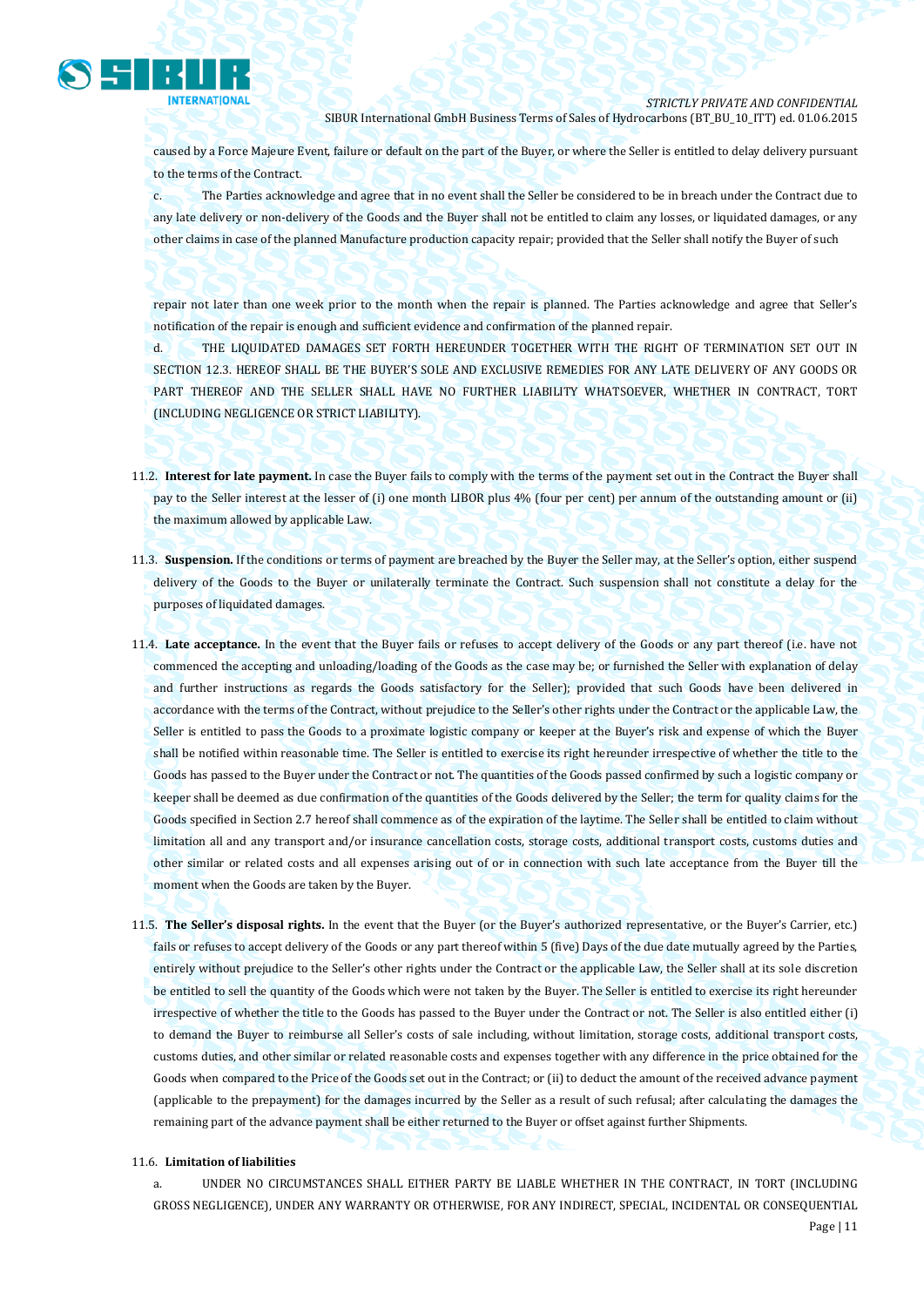

caused by a Force Majeure Event, failure or default on the part of the Buyer, or where the Seller is entitled to delay delivery pursuant to the terms of the Contract.

c. The Parties acknowledge and agree that in no event shall the Seller be considered to be in breach under the Contract due to any late delivery or non-delivery of the Goods and the Buyer shall not be entitled to claim any losses, or liquidated damages, or any other claims in case of the planned Manufacture production capacity repair; provided that the Seller shall notify the Buyer of such

repair not later than one week prior to the month when the repair is planned. The Parties acknowledge and agree that Seller's notification of the repair is enough and sufficient evidence and confirmation of the planned repair.

d. THE LIQUIDATED DAMAGES SET FORTH HEREUNDER TOGETHER WITH THE RIGHT OF TERMINATION SET OUT IN SECTION 12.3. HEREOF SHALL BE THE BUYER'S SOLE AND EXCLUSIVE REMEDIES FOR ANY LATE DELIVERY OF ANY GOODS OR PART THEREOF AND THE SELLER SHALL HAVE NO FURTHER LIABILITY WHATSOEVER, WHETHER IN CONTRACT, TORT (INCLUDING NEGLIGENCE OR STRICT LIABILITY).

- 11.2. **Interest for late payment.** In case the Buyer fails to comply with the terms of the payment set out in the Contract the Buyer shall pay to the Seller interest at the lesser of (i) one month LIBOR plus 4% (four per cent) per annum of the outstanding amount or (ii) the maximum allowed by applicable Law.
- 11.3. **Suspension.** If the conditions or terms of payment are breached by the Buyer the Seller may, at the Seller's option, either suspend delivery of the Goods to the Buyer or unilaterally terminate the Contract. Such suspension shall not constitute a delay for the purposes of liquidated damages.
- 11.4. **Late acceptance.** In the event that the Buyer fails or refuses to accept delivery of the Goods or any part thereof (i.e. have not commenced the accepting and unloading/loading of the Goods as the case may be; or furnished the Seller with explanation of delay and further instructions as regards the Goods satisfactory for the Seller); provided that such Goods have been delivered in accordance with the terms of the Contract, without prejudice to the Seller's other rights under the Contract or the applicable Law, the Seller is entitled to pass the Goods to a proximate logistic company or keeper at the Buyer's risk and expense of which the Buyer shall be notified within reasonable time. The Seller is entitled to exercise its right hereunder irrespective of whether the title to the Goods has passed to the Buyer under the Contract or not. The quantities of the Goods passed confirmed by such a logistic company or keeper shall be deemed as due confirmation of the quantities of the Goods delivered by the Seller; the term for quality claims for the Goods specified in Section 2.7 hereof shall commence as of the expiration of the laytime. The Seller shall be entitled to claim without limitation all and any transport and/or insurance cancellation costs, storage costs, additional transport costs, customs duties and other similar or related costs and all expenses arising out of or in connection with such late acceptance from the Buyer till the moment when the Goods are taken by the Buyer.
- 11.5. **The Seller's disposal rights.** In the event that the Buyer (or the Buyer's authorized representative, or the Buyer's Carrier, etc.) fails or refuses to accept delivery of the Goods or any part thereof within 5 (five) Days of the due date mutually agreed by the Parties, entirely without prejudice to the Seller's other rights under the Contract or the applicable Law, the Seller shall at its sole discretion be entitled to sell the quantity of the Goods which were not taken by the Buyer. The Seller is entitled to exercise its right hereunder irrespective of whether the title to the Goods has passed to the Buyer under the Contract or not. The Seller is also entitled either (i) to demand the Buyer to reimburse all Seller's costs of sale including, without limitation, storage costs, additional transport costs, customs duties, and other similar or related reasonable costs and expenses together with any difference in the price obtained for the Goods when compared to the Price of the Goods set out in the Contract; or (ii) to deduct the amount of the received advance payment (applicable to the prepayment) for the damages incurred by the Seller as a result of such refusal; after calculating the damages the remaining part of the advance payment shall be either returned to the Buyer or offset against further Shipments.

#### 11.6. **Limitation of liabilities**

a. UNDER NO CIRCUMSTANCES SHALL EITHER PARTY BE LIABLE WHETHER IN THE CONTRACT, IN TORT (INCLUDING GROSS NEGLIGENCE), UNDER ANY WARRANTY OR OTHERWISE, FOR ANY INDIRECT, SPECIAL, INCIDENTAL OR CONSEQUENTIAL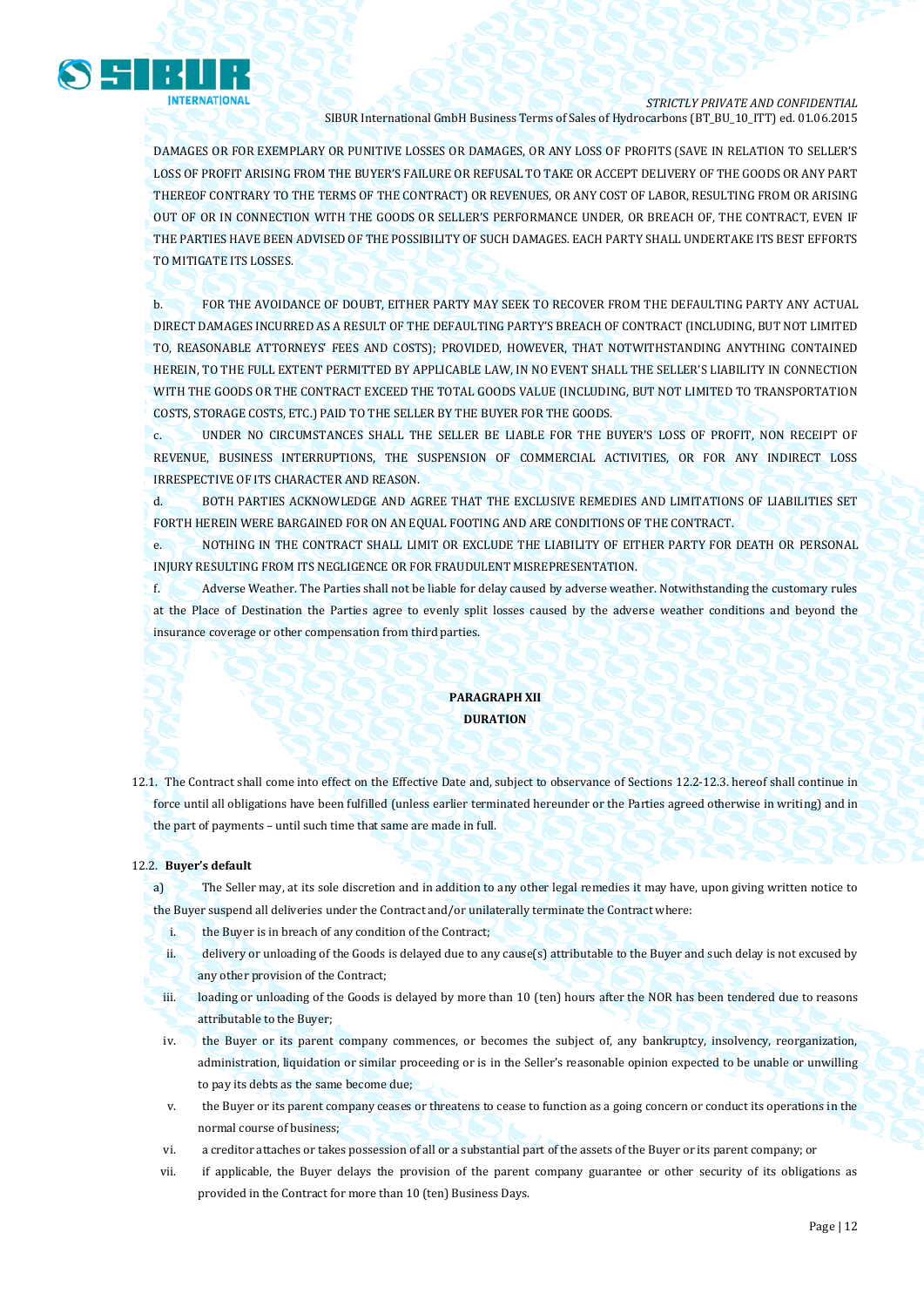

DAMAGES OR FOR EXEMPLARY OR PUNITIVE LOSSES OR DAMAGES, OR ANY LOSS OF PROFITS (SAVE IN RELATION TO SELLER'S LOSS OF PROFIT ARISING FROM THE BUYER'S FAILURE OR REFUSAL TO TAKE OR ACCEPT DELIVERY OF THE GOODS OR ANY PART THEREOF CONTRARY TO THE TERMS OF THE CONTRACT) OR REVENUES, OR ANY COST OF LABOR, RESULTING FROM OR ARISING OUT OF OR IN CONNECTION WITH THE GOODS OR SELLER'S PERFORMANCE UNDER, OR BREACH OF, THE CONTRACT, EVEN IF THE PARTIES HAVE BEEN ADVISED OF THE POSSIBILITY OF SUCH DAMAGES. EACH PARTY SHALL UNDERTAKE ITS BEST EFFORTS TO MITIGATE ITS LOSSES.

b. FOR THE AVOIDANCE OF DOUBT, EITHER PARTY MAY SEEK TO RECOVER FROM THE DEFAULTING PARTY ANY ACTUAL DIRECT DAMAGES INCURRED AS A RESULT OF THE DEFAULTING PARTY'S BREACH OF CONTRACT (INCLUDING, BUT NOT LIMITED TO, REASONABLE ATTORNEYS' FEES AND COSTS); PROVIDED, HOWEVER, THAT NOTWITHSTANDING ANYTHING CONTAINED HEREIN, TO THE FULL EXTENT PERMITTED BY APPLICABLE LAW, IN NO EVENT SHALL THE SELLER'S LIABILITY IN CONNECTION WITH THE GOODS OR THE CONTRACT EXCEED THE TOTAL GOODS VALUE (INCLUDING, BUT NOT LIMITED TO TRANSPORTATION COSTS, STORAGE COSTS, ETC.) PAID TO THE SELLER BY THE BUYER FOR THE GOODS.

c. UNDER NO CIRCUMSTANCES SHALL THE SELLER BE LIABLE FOR THE BUYER'S LOSS OF PROFIT, NON RECEIPT OF REVENUE, BUSINESS INTERRUPTIONS, THE SUSPENSION OF COMMERCIAL ACTIVITIES, OR FOR ANY INDIRECT LOSS IRRESPECTIVE OF ITS CHARACTER AND REASON.

d. BOTH PARTIES ACKNOWLEDGE AND AGREE THAT THE EXCLUSIVE REMEDIES AND LIMITATIONS OF LIABILITIES SET FORTH HEREIN WERE BARGAINED FOR ON AN EQUAL FOOTING AND ARE CONDITIONS OF THE CONTRACT.

e. NOTHING IN THE CONTRACT SHALL LIMIT OR EXCLUDE THE LIABILITY OF EITHER PARTY FOR DEATH OR PERSONAL INJURY RESULTING FROM ITS NEGLIGENCE OR FOR FRAUDULENT MISREPRESENTATION.

f. Adverse Weather. The Parties shall not be liable for delay caused by adverse weather. Notwithstanding the customary rules at the Place of Destination the Parties agree to evenly split losses caused by the adverse weather conditions and beyond the insurance coverage or other compensation from third parties.

## **PARAGRAPH XII DURATION**

12.1. The Contract shall come into effect on the Effective Date and, subject to observance of Sections 12.2-12.3. hereof shall continue in force until all obligations have been fulfilled (unless earlier terminated hereunder or the Parties agreed otherwise in writing) and in the part of payments – until such time that same are made in full.

## 12.2. **Buyer's default**

a) The Seller may, at its sole discretion and in addition to any other legal remedies it may have, upon giving written notice to the Buyer suspend all deliveries under the Contract and/or unilaterally terminate the Contract where:

- i. the Buyer is in breach of any condition of the Contract;
- ii. delivery or unloading of the Goods is delayed due to any cause(s) attributable to the Buyer and such delay is not excused by any other provision of the Contract;
- iii. loading or unloading of the Goods is delayed by more than 10 (ten) hours after the NOR has been tendered due to reasons attributable to the Buyer;
- iv. the Buyer or its parent company commences, or becomes the subject of, any bankruptcy, insolvency, reorganization, administration, liquidation or similar proceeding or is in the Seller's reasonable opinion expected to be unable or unwilling to pay its debts as the same become due;
- v. the Buyer or its parent company ceases or threatens to cease to function as a going concern or conduct its operations in the normal course of business;
- vi. a creditor attaches or takes possession of all or a substantial part of the assets of the Buyer or its parent company; or
- vii. if applicable, the Buyer delays the provision of the parent company guarantee or other security of its obligations as provided in the Contract for more than 10 (ten) Business Days.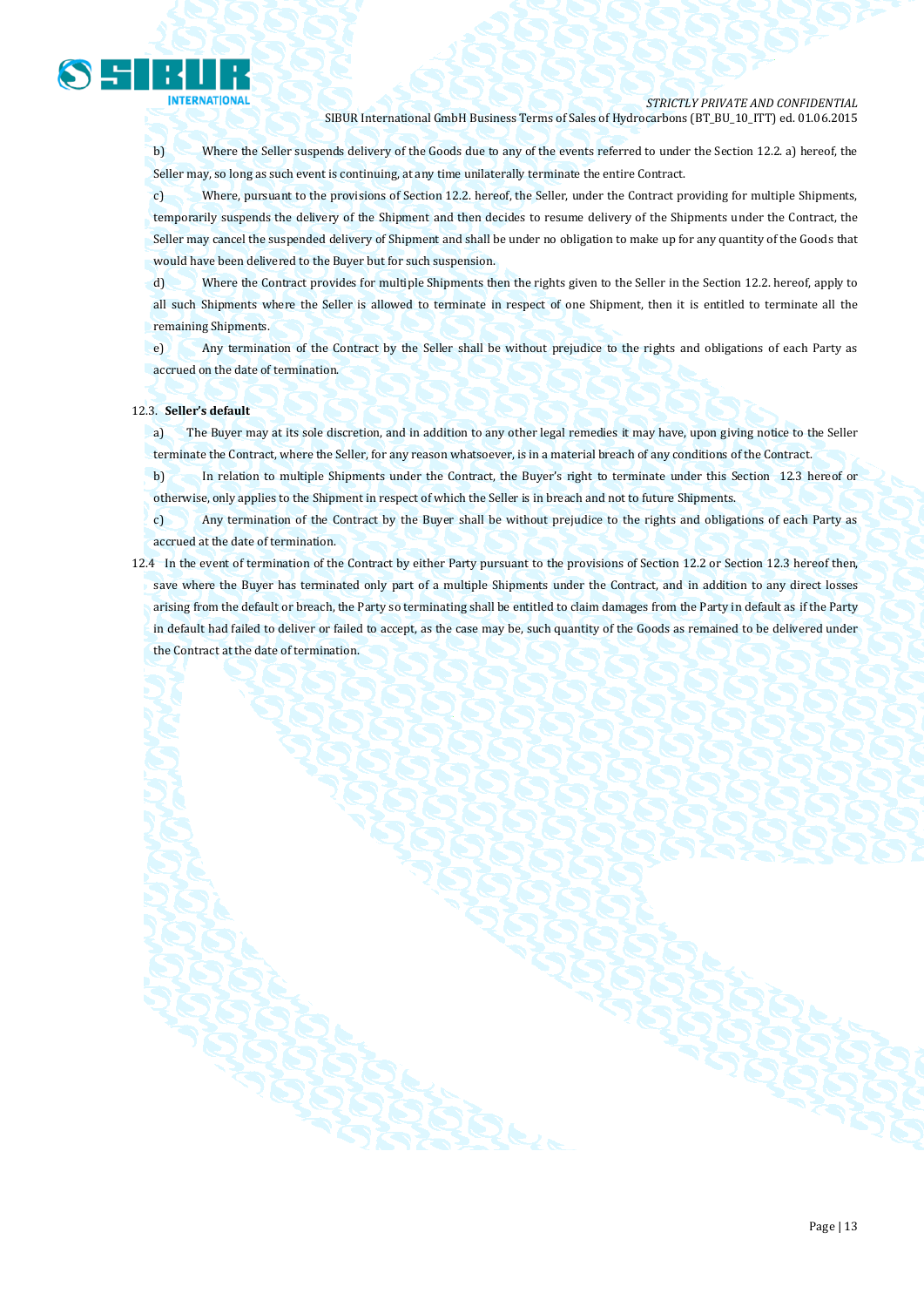

b) Where the Seller suspends delivery of the Goods due to any of the events referred to under the Section 12.2. a) hereof, the Seller may, so long as such event is continuing, at any time unilaterally terminate the entire Contract.

c) Where, pursuant to the provisions of Section 12.2. hereof, the Seller, under the Contract providing for multiple Shipments, temporarily suspends the delivery of the Shipment and then decides to resume delivery of the Shipments under the Contract, the Seller may cancel the suspended delivery of Shipment and shall be under no obligation to make up for any quantity of the Goods that would have been delivered to the Buyer but for such suspension.

d) Where the Contract provides for multiple Shipments then the rights given to the Seller in the Section 12.2. hereof, apply to all such Shipments where the Seller is allowed to terminate in respect of one Shipment, then it is entitled to terminate all the remaining Shipments.

e) Any termination of the Contract by the Seller shall be without prejudice to the rights and obligations of each Party as accrued on the date of termination.

#### 12.3. **Seller's default**

a) The Buyer may at its sole discretion, and in addition to any other legal remedies it may have, upon giving notice to the Seller terminate the Contract, where the Seller, for any reason whatsoever, is in a material breach of any conditions of the Contract.

b) In relation to multiple Shipments under the Contract, the Buyer's right to terminate under this Section 12.3 hereof or otherwise, only applies to the Shipment in respect of which the Seller is in breach and not to future Shipments.

c) Any termination of the Contract by the Buyer shall be without prejudice to the rights and obligations of each Party as accrued at the date of termination.

12.4 In the event of termination of the Contract by either Party pursuant to the provisions of Section 12.2 or Section 12.3 hereof then, save where the Buyer has terminated only part of a multiple Shipments under the Contract, and in addition to any direct losses arising from the default or breach, the Party so terminating shall be entitled to claim damages from the Party in default as if the Party in default had failed to deliver or failed to accept, as the case may be, such quantity of the Goods as remained to be delivered under the Contract at the date of termination.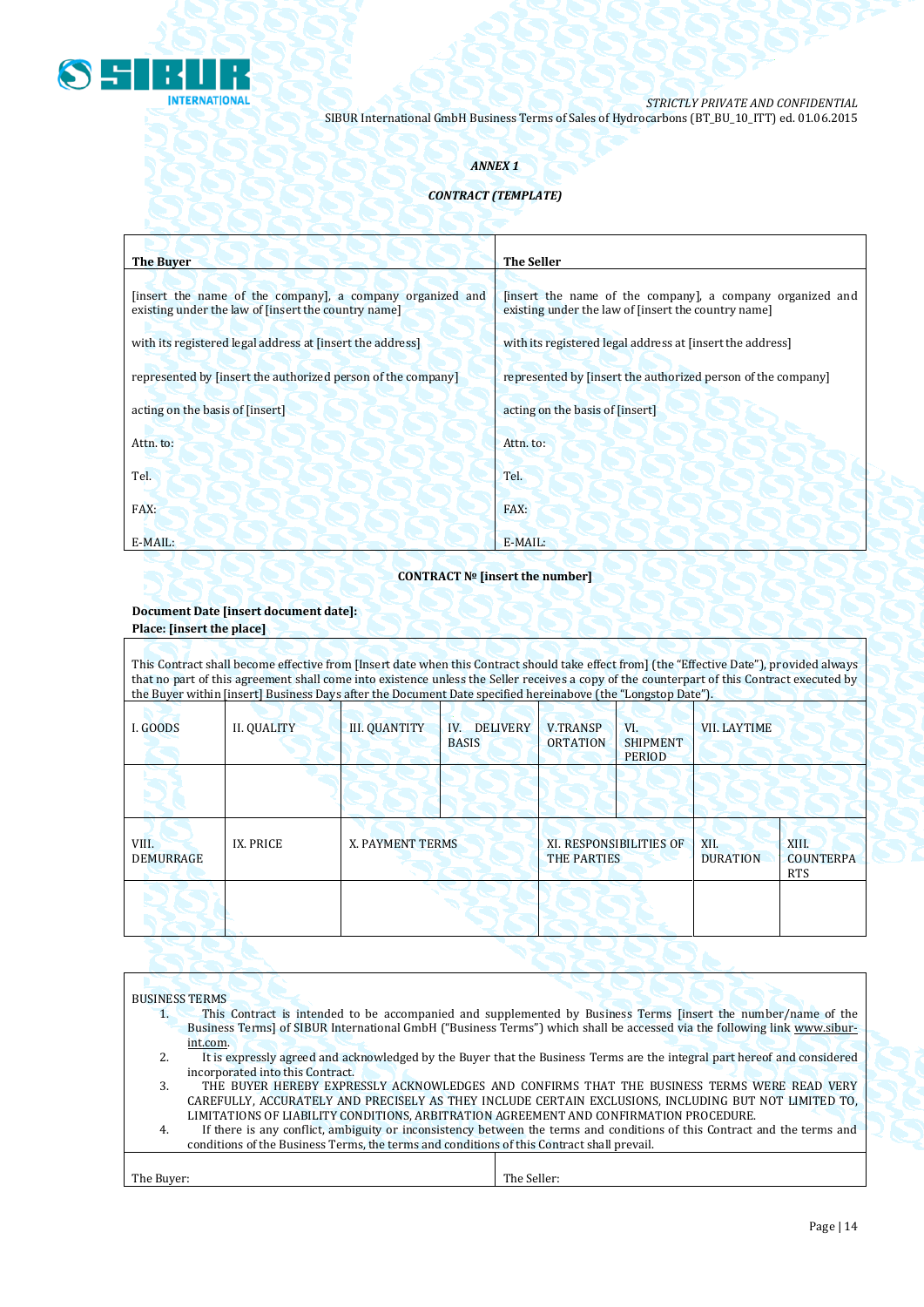

## *ANNEX 1*

## *CONTRACT (TEMPLATE)*

| <b>The Buyer</b>                                                                                                 | <b>The Seller</b>                                                                                                |
|------------------------------------------------------------------------------------------------------------------|------------------------------------------------------------------------------------------------------------------|
| [insert the name of the company], a company organized and<br>existing under the law of [insert the country name] | [insert the name of the company], a company organized and<br>existing under the law of [insert the country name] |
| with its registered legal address at [insert the address]                                                        | with its registered legal address at [insert the address]                                                        |
| represented by [insert the authorized person of the company]                                                     | represented by [insert the authorized person of the company]                                                     |
| acting on the basis of [insert]                                                                                  | acting on the basis of [insert]                                                                                  |
| Attn. to:                                                                                                        | Attn. to:                                                                                                        |
| Tel.                                                                                                             | Tel.                                                                                                             |
| FAX:                                                                                                             | FAX:                                                                                                             |
| $E-MAIL:$                                                                                                        | E-MAIL:                                                                                                          |

# **CONTRACT № [insert the number]**

## **Document Date [insert document date]: Place: [insert the place]**

| This Contract shall become effective from [Insert date when this Contract should take effect from] (the "Effective Date"), provided always<br>that no part of this agreement shall come into existence unless the Seller receives a copy of the counterpart of this Contract executed by<br>the Buyer within [insert] Business Days after the Document Date specified hereinabove (the "Longstop Date"). |             |                      |                                        |                                               |                                         |                         |                                         |
|----------------------------------------------------------------------------------------------------------------------------------------------------------------------------------------------------------------------------------------------------------------------------------------------------------------------------------------------------------------------------------------------------------|-------------|----------------------|----------------------------------------|-----------------------------------------------|-----------------------------------------|-------------------------|-----------------------------------------|
| I. GOODS                                                                                                                                                                                                                                                                                                                                                                                                 | II. QUALITY | <b>III. QUANTITY</b> | <b>DELIVERY</b><br>IV.<br><b>BASIS</b> | <b>V.TRANSP</b><br><b>ORTATION</b>            | VI.<br><b>SHIPMENT</b><br><b>PERIOD</b> | <b>VII. LAYTIME</b>     |                                         |
|                                                                                                                                                                                                                                                                                                                                                                                                          |             |                      |                                        |                                               |                                         |                         |                                         |
| VIII.<br>DEMURRAGE                                                                                                                                                                                                                                                                                                                                                                                       | IX. PRICE   | X. PAYMENT TERMS     |                                        | XI. RESPONSIBILITIES OF<br><b>THE PARTIES</b> |                                         | XII.<br><b>DURATION</b> | XIII.<br><b>COUNTERPA</b><br><b>RTS</b> |
|                                                                                                                                                                                                                                                                                                                                                                                                          |             |                      |                                        |                                               |                                         |                         |                                         |

|            | <b>BUSINESS TERMS</b>                                                                                                    |  |
|------------|--------------------------------------------------------------------------------------------------------------------------|--|
|            | This Contract is intended to be accompanied and supplemented by Business Terms [insert the number/name of the            |  |
|            | Business Terms] of SIBUR International GmbH ("Business Terms") which shall be accessed via the following link www.sibur- |  |
|            | int.com.                                                                                                                 |  |
|            | It is expressly agreed and acknowledged by the Buyer that the Business Terms are the integral part hereof and considered |  |
|            | incorporated into this Contract.                                                                                         |  |
| 3.         | THE BUYER HEREBY EXPRESSLY ACKNOWLEDGES AND CONFIRMS THAT THE BUSINESS TERMS WERE READ VERY                              |  |
|            | CAREFULLY, ACCURATELY AND PRECISELY AS THEY INCLUDE CERTAIN EXCLUSIONS, INCLUDING BUT NOT LIMITED TO,                    |  |
|            | LIMITATIONS OF LIABILITY CONDITIONS, ARBITRATION AGREEMENT AND CONFIRMATION PROCEDURE.                                   |  |
| 4.         | If there is any conflict, ambiguity or inconsistency between the terms and conditions of this Contract and the terms and |  |
|            | conditions of the Business Terms, the terms and conditions of this Contract shall prevail.                               |  |
|            |                                                                                                                          |  |
| The Buver: | The Seller:                                                                                                              |  |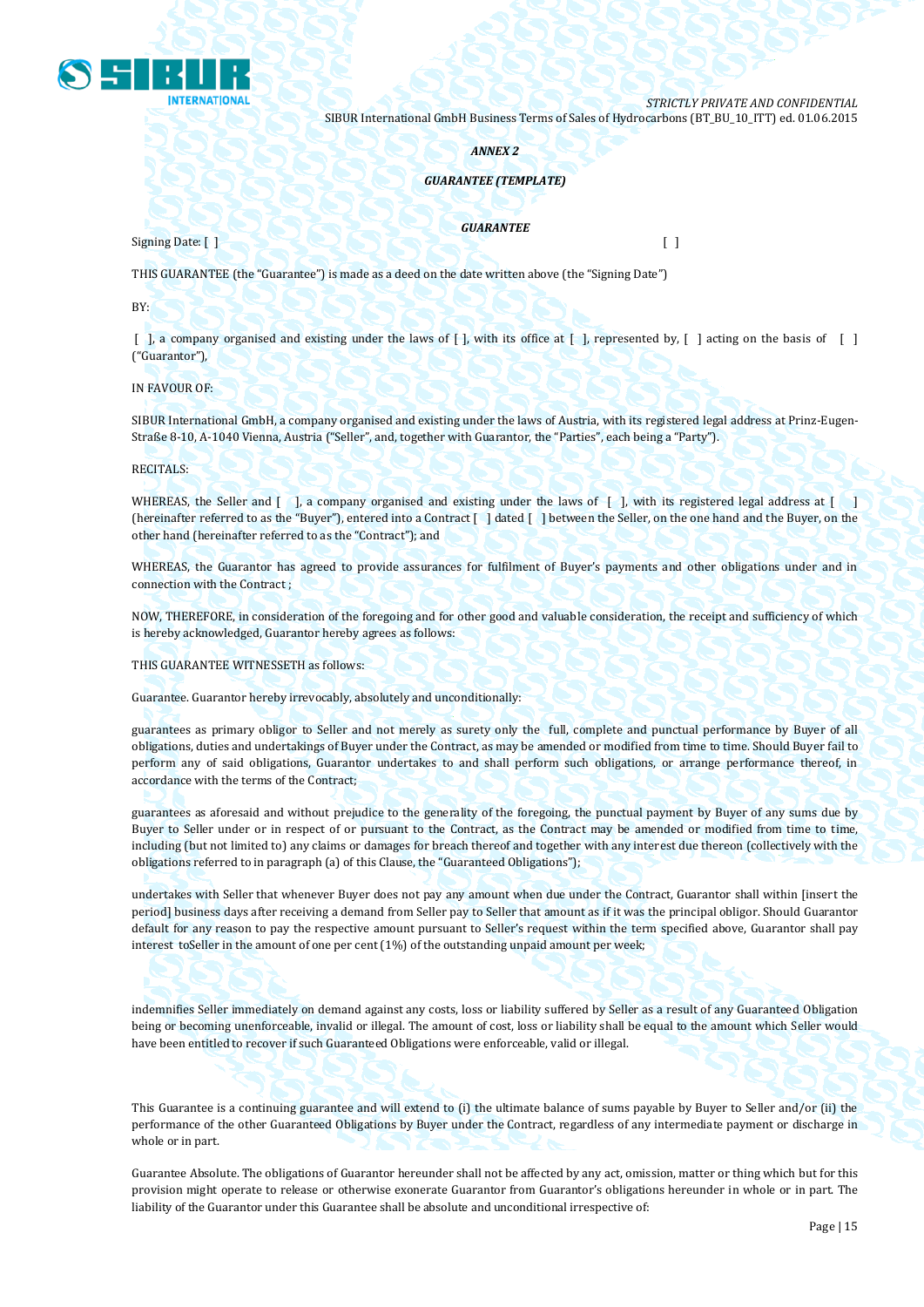

### *ANNEX 2*

## *GUARANTEE (TEMPLATE)*

### *GUARANTEE*

Signing Date: [ ] [ ]

THIS GUARANTEE (the "Guarantee") is made as a deed on the date written above (the "Signing Date")

BY:

 $\lceil$ , a company organised and existing under the laws of  $\lceil$ , with its office at  $\lceil$ , represented by,  $\lceil$ , acting on the basis of  $\lceil$ ("Guarantor"),

IN FAVOUR OF:

SIBUR International GmbH, a company organised and existing under the laws of Austria, with its registered legal address at Prinz-Eugen-Straße 8-10, A-1040 Vienna, Austria ("Seller", and, together with Guarantor, the "Parties", each being a "Party").

RECITALS:

WHEREAS, the Seller and  $\lceil \cdot \rceil$ , a company organised and existing under the laws of  $\lceil \cdot \rceil$ , with its registered legal address at  $\lceil \cdot \rceil$ (hereinafter referred to as the "Buyer"), entered into a Contract [ ] dated [ ] between the Seller, on the one hand and the Buyer, on the other hand (hereinafter referred to as the "Contract"); and

WHEREAS, the Guarantor has agreed to provide assurances for fulfilment of Buyer's payments and other obligations under and in connection with the Contract ;

NOW, THEREFORE, in consideration of the foregoing and for other good and valuable consideration, the receipt and sufficiency of which is hereby acknowledged, Guarantor hereby agrees as follows:

THIS GUARANTEE WITNESSETH as follows:

Guarantee. Guarantor hereby irrevocably, absolutely and unconditionally:

guarantees as primary obligor to Seller and not merely as surety only the full, complete and punctual performance by Buyer of all obligations, duties and undertakings of Buyer under the Contract, as may be amended or modified from time to time. Should Buyer fail to perform any of said obligations, Guarantor undertakes to and shall perform such obligations, or arrange performance thereof, in accordance with the terms of the Contract;

guarantees as aforesaid and without prejudice to the generality of the foregoing, the punctual payment by Buyer of any sums due by Buyer to Seller under or in respect of or pursuant to the Contract, as the Contract may be amended or modified from time to time, including (but not limited to) any claims or damages for breach thereof and together with any interest due thereon (collectively with the obligations referred to in paragraph (a) of this Clause, the "Guaranteed Obligations");

undertakes with Seller that whenever Buyer does not pay any amount when due under the Contract, Guarantor shall within [insert the period] business days after receiving a demand from Seller pay to Seller that amount as if it was the principal obligor. Should Guarantor default for any reason to pay the respective amount pursuant to Seller's request within the term specified above, Guarantor shall pay interest toSeller in the amount of one per cent (1%) of the outstanding unpaid amount per week;

indemnifies Seller immediately on demand against any costs, loss or liability suffered by Seller as a result of any Guaranteed Obligation being or becoming unenforceable, invalid or illegal. The amount of cost, loss or liability shall be equal to the amount which Seller would have been entitled to recover if such Guaranteed Obligations were enforceable, valid or illegal.

This Guarantee is a continuing guarantee and will extend to (i) the ultimate balance of sums payable by Buyer to Seller and/or (ii) the performance of the other Guaranteed Obligations by Buyer under the Contract, regardless of any intermediate payment or discharge in whole or in part.

Guarantee Absolute. The obligations of Guarantor hereunder shall not be affected by any act, omission, matter or thing which but for this provision might operate to release or otherwise exonerate Guarantor from Guarantor's obligations hereunder in whole or in part. The liability of the Guarantor under this Guarantee shall be absolute and unconditional irrespective of: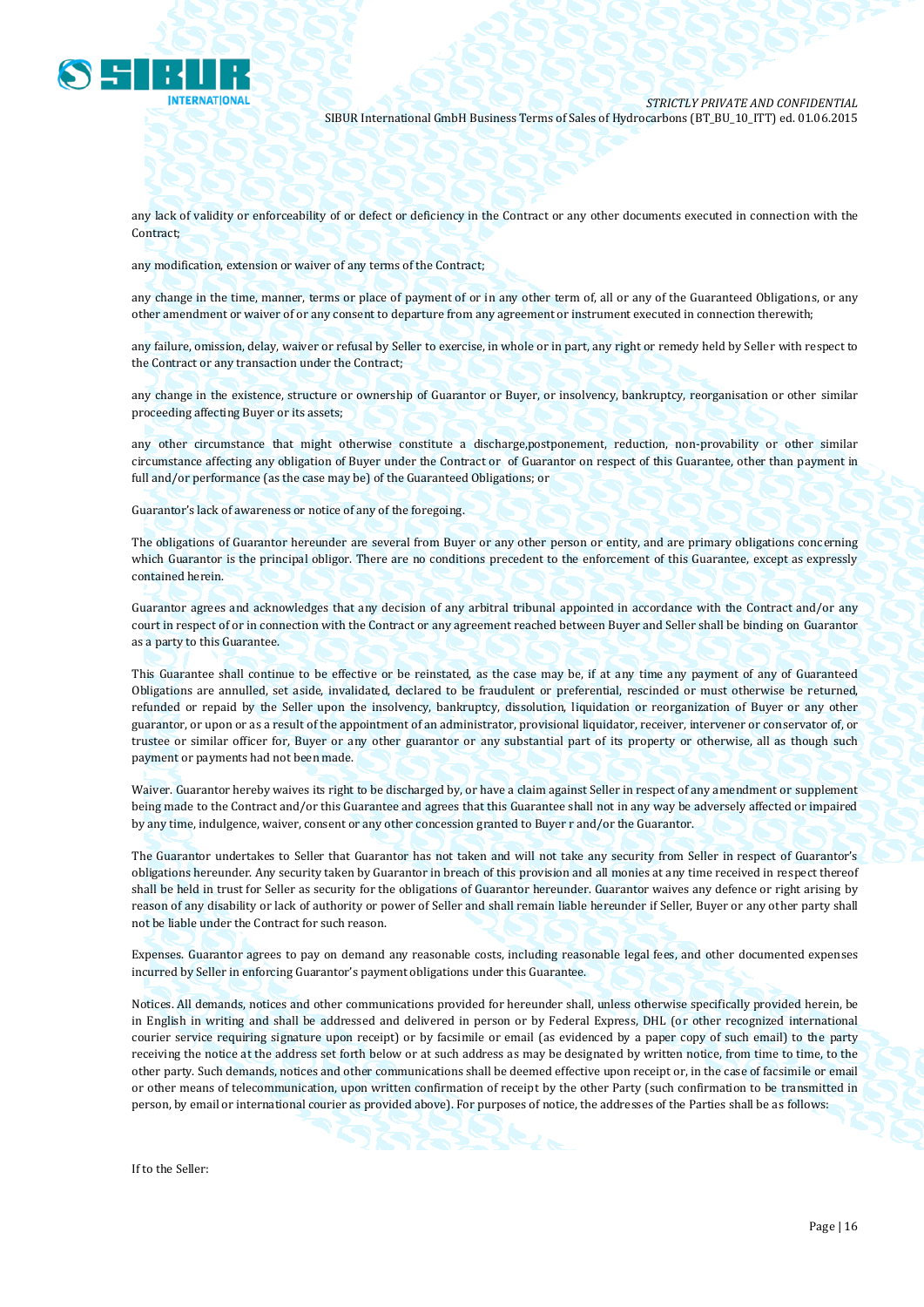

any lack of validity or enforceability of or defect or deficiency in the Contract or any other documents executed in connection with the Contract;

any modification, extension or waiver of any terms of the Contract;

any change in the time, manner, terms or place of payment of or in any other term of, all or any of the Guaranteed Obligations, or any other amendment or waiver of or any consent to departure from any agreement or instrument executed in connection therewith;

any failure, omission, delay, waiver or refusal by Seller to exercise, in whole or in part, any right or remedy held by Seller with respect to the Contract or any transaction under the Contract;

any change in the existence, structure or ownership of Guarantor or Buyer, or insolvency, bankruptcy, reorganisation or other similar proceeding affecting Buyer or its assets;

any other circumstance that might otherwise constitute a discharge,postponement, reduction, non-provability or other similar circumstance affecting any obligation of Buyer under the Contract or of Guarantor on respect of this Guarantee, other than payment in full and/or performance (as the case may be) of the Guaranteed Obligations; or

Guarantor's lack of awareness or notice of any of the foregoing.

The obligations of Guarantor hereunder are several from Buyer or any other person or entity, and are primary obligations concerning which Guarantor is the principal obligor. There are no conditions precedent to the enforcement of this Guarantee, except as expressly contained herein.

Guarantor agrees and acknowledges that any decision of any arbitral tribunal appointed in accordance with the Contract and/or any court in respect of or in connection with the Contract or any agreement reached between Buyer and Seller shall be binding on Guarantor as a party to this Guarantee.

This Guarantee shall continue to be effective or be reinstated, as the case may be, if at any time any payment of any of Guaranteed Obligations are annulled, set aside, invalidated, declared to be fraudulent or preferential, rescinded or must otherwise be returned, refunded or repaid by the Seller upon the insolvency, bankruptcy, dissolution, liquidation or reorganization of Buyer or any other guarantor, or upon or as a result of the appointment of an administrator, provisional liquidator, receiver, intervener or conservator of, or trustee or similar officer for, Buyer or any other guarantor or any substantial part of its property or otherwise, all as though such payment or payments had not been made.

Waiver. Guarantor hereby waives its right to be discharged by, or have a claim against Seller in respect of any amendment or supplement being made to the Contract and/or this Guarantee and agrees that this Guarantee shall not in any way be adversely affected or impaired by any time, indulgence, waiver, consent or any other concession granted to Buyer r and/or the Guarantor.

The Guarantor undertakes to Seller that Guarantor has not taken and will not take any security from Seller in respect of Guarantor's obligations hereunder. Any security taken by Guarantor in breach of this provision and all monies at any time received in respect thereof shall be held in trust for Seller as security for the obligations of Guarantor hereunder. Guarantor waives any defence or right arising by reason of any disability or lack of authority or power of Seller and shall remain liable hereunder if Seller, Buyer or any other party shall not be liable under the Contract for such reason.

Expenses. Guarantor agrees to pay on demand any reasonable costs, including reasonable legal fees, and other documented expenses incurred by Seller in enforcing Guarantor's payment obligations under this Guarantee.

Notices. All demands, notices and other communications provided for hereunder shall, unless otherwise specifically provided herein, be in English in writing and shall be addressed and delivered in person or by Federal Express, DHL (or other recognized international courier service requiring signature upon receipt) or by facsimile or email (as evidenced by a paper copy of such email) to the party receiving the notice at the address set forth below or at such address as may be designated by written notice, from time to time, to the other party. Such demands, notices and other communications shall be deemed effective upon receipt or, in the case of facsimile or email or other means of telecommunication, upon written confirmation of receipt by the other Party (such confirmation to be transmitted in person, by email or international courier as provided above). For purposes of notice, the addresses of the Parties shall be as follows:

If to the Seller: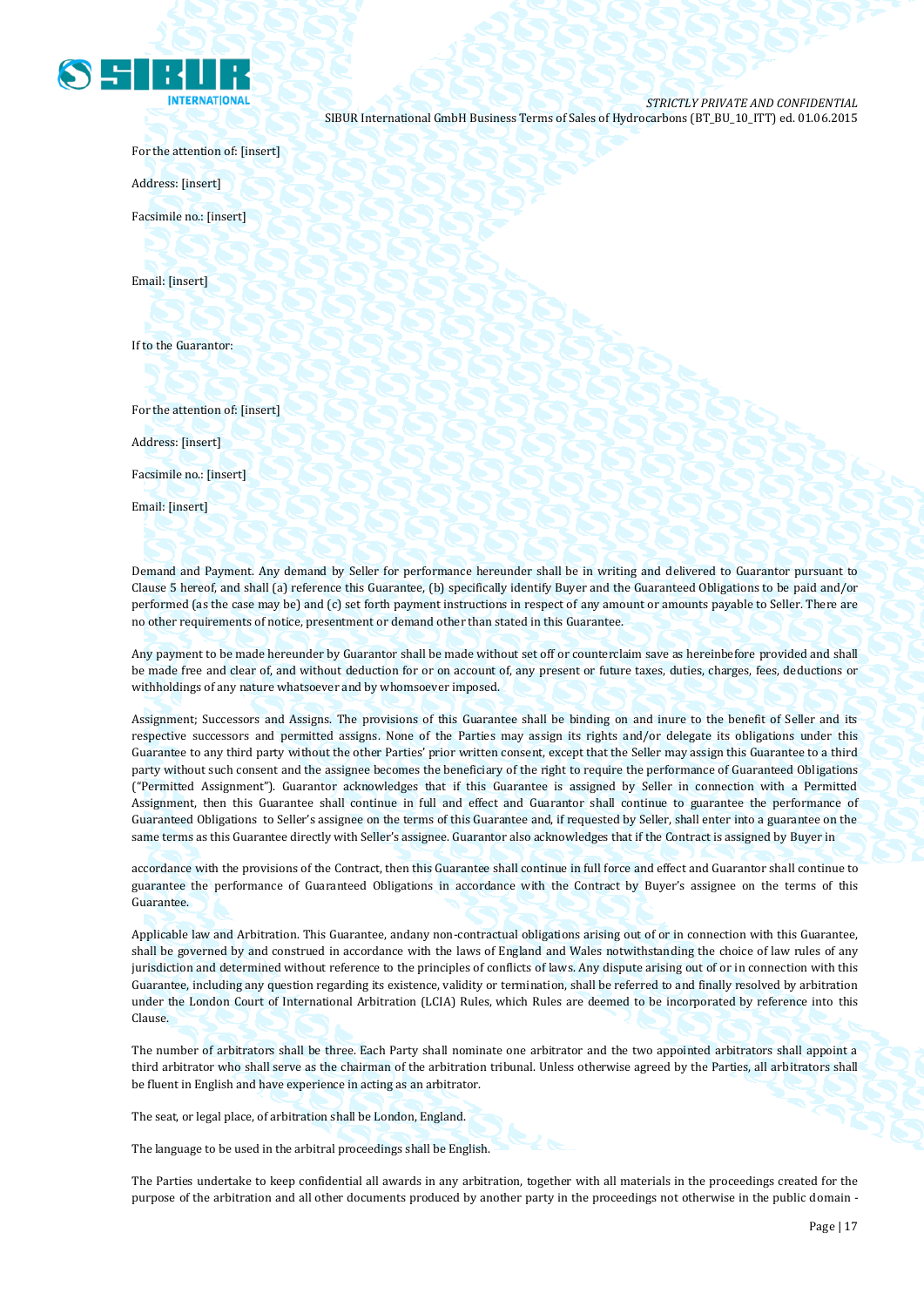

For the attention of: [insert]

Address: [insert]

Facsimile no.: [insert]

Email: [insert]

If to the Guarantor:

For the attention of: [insert]

Address: [insert]

Facsimile no.: [insert]

Email: [insert]

Demand and Payment. Any demand by Seller for performance hereunder shall be in writing and delivered to Guarantor pursuant to Clause 5 hereof, and shall (a) reference this Guarantee, (b) specifically identify Buyer and the Guaranteed Obligations to be paid and/or performed (as the case may be) and (c) set forth payment instructions in respect of any amount or amounts payable to Seller. There are no other requirements of notice, presentment or demand other than stated in this Guarantee.

Any payment to be made hereunder by Guarantor shall be made without set off or counterclaim save as hereinbefore provided and shall be made free and clear of, and without deduction for or on account of, any present or future taxes, duties, charges, fees, deductions or withholdings of any nature whatsoever and by whomsoever imposed.

Assignment; Successors and Assigns. The provisions of this Guarantee shall be binding on and inure to the benefit of Seller and its respective successors and permitted assigns. None of the Parties may assign its rights and/or delegate its obligations under this Guarantee to any third party without the other Parties' prior written consent, except that the Seller may assign this Guarantee to a third party without such consent and the assignee becomes the beneficiary of the right to require the performance of Guaranteed Obligations ("Permitted Assignment"). Guarantor acknowledges that if this Guarantee is assigned by Seller in connection with a Permitted Assignment, then this Guarantee shall continue in full and effect and Guarantor shall continue to guarantee the performance of Guaranteed Obligations to Seller's assignee on the terms of this Guarantee and, if requested by Seller, shall enter into a guarantee on the same terms as this Guarantee directly with Seller's assignee. Guarantor also acknowledges that if the Contract is assigned by Buyer in

accordance with the provisions of the Contract, then this Guarantee shall continue in full force and effect and Guarantor shall continue to guarantee the performance of Guaranteed Obligations in accordance with the Contract by Buyer's assignee on the terms of this Guarantee.

Applicable law and Arbitration. This Guarantee, andany non-contractual obligations arising out of or in connection with this Guarantee, shall be governed by and construed in accordance with the laws of England and Wales notwithstanding the choice of law rules of any jurisdiction and determined without reference to the principles of conflicts of laws. Any dispute arising out of or in connection with this Guarantee, including any question regarding its existence, validity or termination, shall be referred to and finally resolved by arbitration under the London Court of International Arbitration (LCIA) Rules, which Rules are deemed to be incorporated by reference into this Clause.

The number of arbitrators shall be three. Each Party shall nominate one arbitrator and the two appointed arbitrators shall appoint a third arbitrator who shall serve as the chairman of the arbitration tribunal. Unless otherwise agreed by the Parties, all arbitrators shall be fluent in English and have experience in acting as an arbitrator.

The seat, or legal place, of arbitration shall be London, England.

The language to be used in the arbitral proceedings shall be English.

The Parties undertake to keep confidential all awards in any arbitration, together with all materials in the proceedings created for the purpose of the arbitration and all other documents produced by another party in the proceedings not otherwise in the public domain -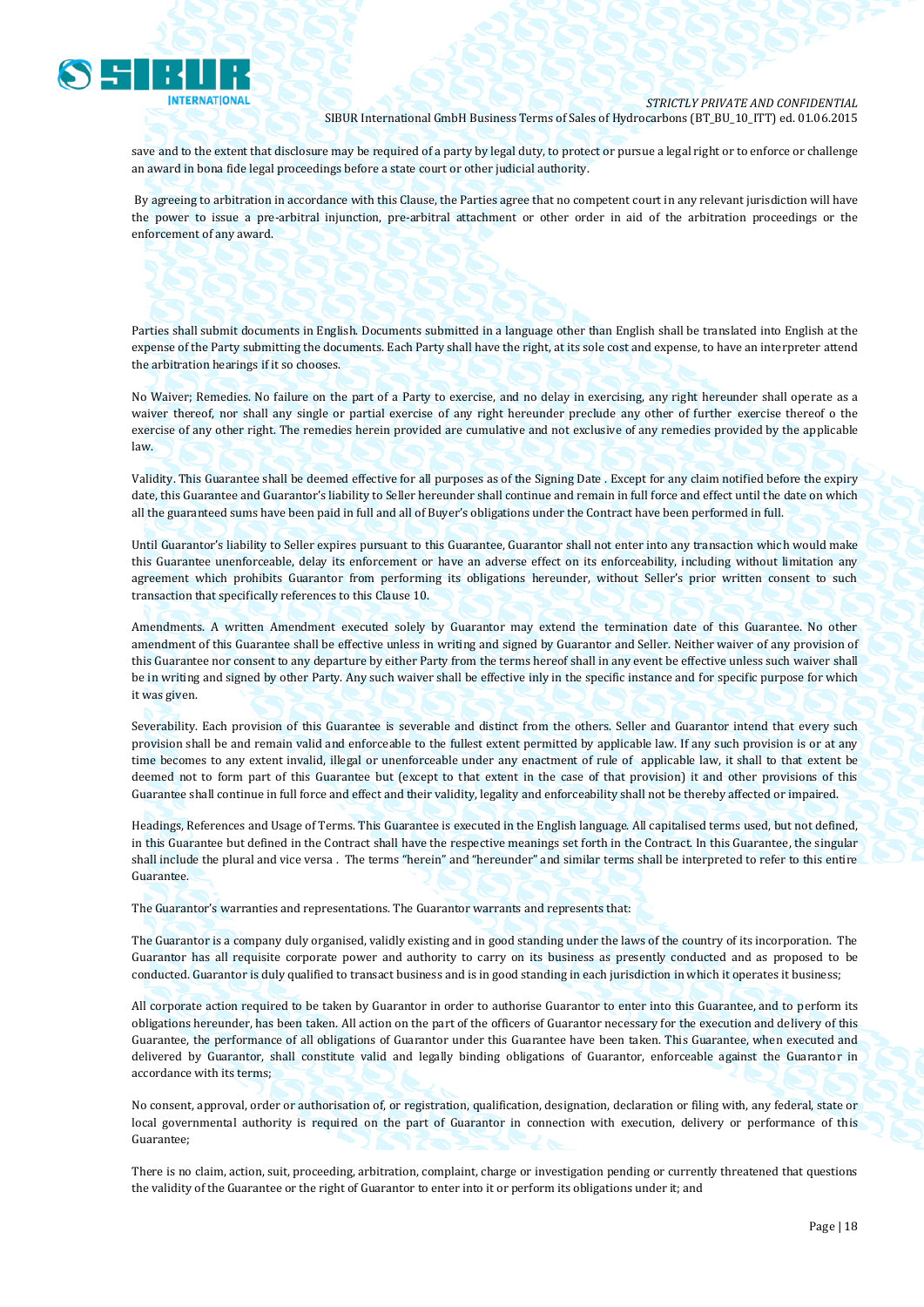

save and to the extent that disclosure may be required of a party by legal duty, to protect or pursue a legal right or to enforce or challenge an award in bona fide legal proceedings before a state court or other judicial authority.

By agreeing to arbitration in accordance with this Clause, the Parties agree that no competent court in any relevant jurisdiction will have the power to issue a pre-arbitral injunction, pre-arbitral attachment or other order in aid of the arbitration proceedings or the enforcement of any award.

Parties shall submit documents in English. Documents submitted in a language other than English shall be translated into English at the expense of the Party submitting the documents. Each Party shall have the right, at its sole cost and expense, to have an interpreter attend the arbitration hearings if it so chooses.

No Waiver; Remedies. No failure on the part of a Party to exercise, and no delay in exercising, any right hereunder shall operate as a waiver thereof, nor shall any single or partial exercise of any right hereunder preclude any other of further exercise thereof o the exercise of any other right. The remedies herein provided are cumulative and not exclusive of any remedies provided by the applicable law.

Validity. This Guarantee shall be deemed effective for all purposes as of the Signing Date . Except for any claim notified before the expiry date, this Guarantee and Guarantor's liability to Seller hereunder shall continue and remain in full force and effect until the date on which all the guaranteed sums have been paid in full and all of Buyer's obligations under the Contract have been performed in full.

Until Guarantor's liability to Seller expires pursuant to this Guarantee, Guarantor shall not enter into any transaction which would make this Guarantee unenforceable, delay its enforcement or have an adverse effect on its enforceability, including without limitation any agreement which prohibits Guarantor from performing its obligations hereunder, without Seller's prior written consent to such transaction that specifically references to this Clause 10.

Amendments. A written Amendment executed solely by Guarantor may extend the termination date of this Guarantee. No other amendment of this Guarantee shall be effective unless in writing and signed by Guarantor and Seller. Neither waiver of any provision of this Guarantee nor consent to any departure by either Party from the terms hereof shall in any event be effective unless such waiver shall be in writing and signed by other Party. Any such waiver shall be effective inly in the specific instance and for specific purpose for which it was given.

Severability. Each provision of this Guarantee is severable and distinct from the others. Seller and Guarantor intend that every such provision shall be and remain valid and enforceable to the fullest extent permitted by applicable law. If any such provision is or at any time becomes to any extent invalid, illegal or unenforceable under any enactment of rule of applicable law, it shall to that extent be deemed not to form part of this Guarantee but (except to that extent in the case of that provision) it and other provisions of this Guarantee shall continue in full force and effect and their validity, legality and enforceability shall not be thereby affected or impaired.

Headings, References and Usage of Terms. This Guarantee is executed in the English language. All capitalised terms used, but not defined, in this Guarantee but defined in the Contract shall have the respective meanings set forth in the Contract. In this Guarantee, the singular shall include the plural and vice versa . The terms "herein" and "hereunder" and similar terms shall be interpreted to refer to this entire Guarantee.

The Guarantor's warranties and representations. The Guarantor warrants and represents that:

The Guarantor is a company duly organised, validly existing and in good standing under the laws of the country of its incorporation. The Guarantor has all requisite corporate power and authority to carry on its business as presently conducted and as proposed to be conducted. Guarantor is duly qualified to transact business and is in good standing in each jurisdiction in which it operates it business;

All corporate action required to be taken by Guarantor in order to authorise Guarantor to enter into this Guarantee, and to perform its obligations hereunder, has been taken. All action on the part of the officers of Guarantor necessary for the execution and delivery of this Guarantee, the performance of all obligations of Guarantor under this Guarantee have been taken. This Guarantee, when executed and delivered by Guarantor, shall constitute valid and legally binding obligations of Guarantor, enforceable against the Guarantor in accordance with its terms;

No consent, approval, order or authorisation of, or registration, qualification, designation, declaration or filing with, any federal, state or local governmental authority is required on the part of Guarantor in connection with execution, delivery or performance of this Guarantee;

There is no claim, action, suit, proceeding, arbitration, complaint, charge or investigation pending or currently threatened that questions the validity of the Guarantee or the right of Guarantor to enter into it or perform its obligations under it; and